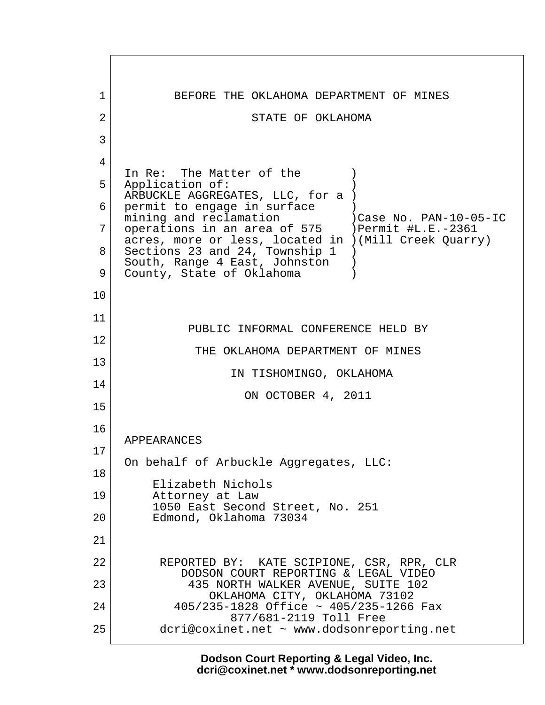1 BEFORE THE OKLAHOMA DEPARTMENT OF MINES 2 STATE OF OKLAHOMA  $3 \mid$  4 In Re: The Matter of the  $($ 5 Application of: ARBUCKLE AGGREGATES, LLC, for a ) 6 permit to engage in surface mining and reclamation )Case No. PAN-10-05-IC 7 | operations in an area of 575 | ) Permit #L.E.-2361 acres, more or less, located in )(Mill Creek Quarry) 8 Sections 23 and 24, Township 1 ) South, Range 4 East, Johnston ) 9 County, State of Oklahoma 10 11 PUBLIC INFORMAL CONFERENCE HELD BY 12 THE OKLAHOMA DEPARTMENT OF MINES 13 IN TISHOMINGO, OKLAHOMA 14 ON OCTOBER 4, 2011 15 16 APPEARANCES 17 On behalf of Arbuckle Aggregates, LLC: 18 Elizabeth Nichols 19 Attorney at Law 1050 East Second Street, No. 251 20 Edmond, Oklahoma 73034 21 22 REPORTED BY: KATE SCIPIONE, CSR, RPR, CLR DODSON COURT REPORTING & LEGAL VIDEO 23 435 NORTH WALKER AVENUE, SUITE 102 OKLAHOMA CITY, OKLAHOMA 73102 24 405/235-1828 Office ~ 405/235-1266 Fax 877/681-2119 Toll Free 25 dcri@coxinet.net ~ www.dodsonreporting.net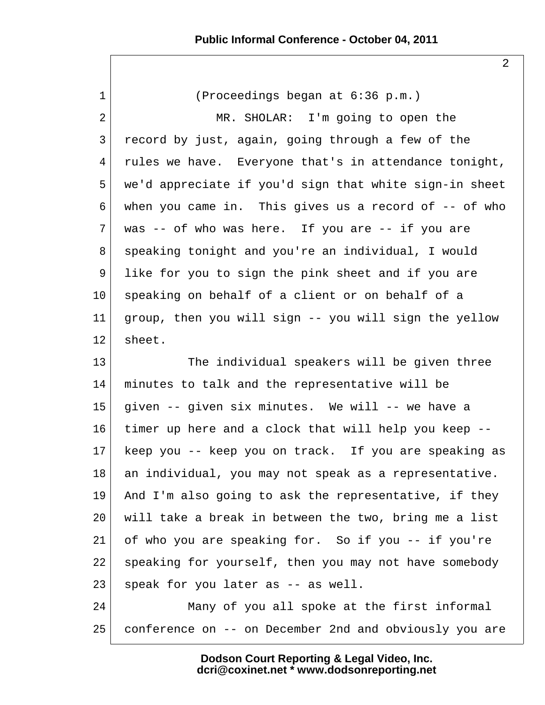2

 1 (Proceedings began at 6:36 p.m.) 2 MR. SHOLAR: I'm going to open the 3 record by just, again, going through a few of the 4 rules we have. Everyone that's in attendance tonight, 5 we'd appreciate if you'd sign that white sign-in sheet 6 when you came in. This gives us a record of -- of who  $7$  was -- of who was here. If you are -- if you are 8 speaking tonight and you're an individual, I would 9 like for you to sign the pink sheet and if you are 10 speaking on behalf of a client or on behalf of a 11 group, then you will sign -- you will sign the yellow 12 sheet. 13 The individual speakers will be given three 14 minutes to talk and the representative will be 15 given -- given six minutes. We will -- we have a 16 timer up here and a clock that will help you keep -- 17 keep you -- keep you on track. If you are speaking as 18 an individual, you may not speak as a representative. 19 And I'm also going to ask the representative, if they 20 will take a break in between the two, bring me a list 21 of who you are speaking for. So if you -- if you're 22 | speaking for yourself, then you may not have somebody  $23$  speak for you later as  $-$  as well. 24 Many of you all spoke at the first informal 25 conference on -- on December 2nd and obviously you are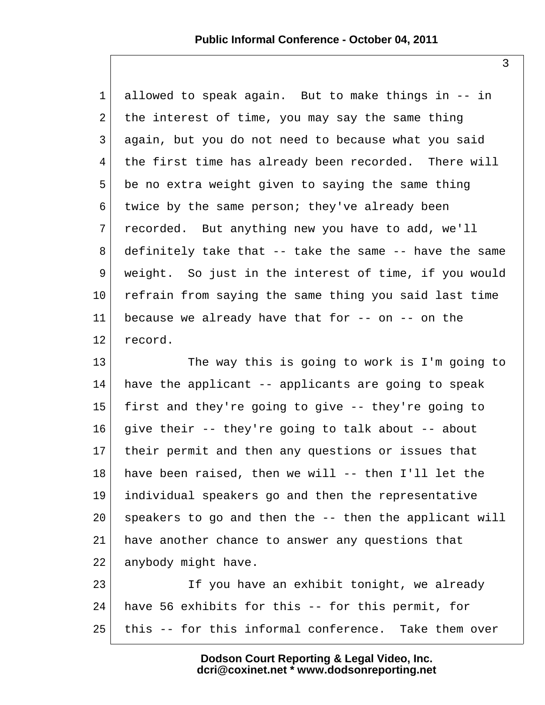1 allowed to speak again. But to make things in -- in 2 the interest of time, you may say the same thing 3 again, but you do not need to because what you said 4 the first time has already been recorded. There will 5 be no extra weight given to saying the same thing 6 twice by the same person; they've already been 7 recorded. But anything new you have to add, we'll  $8$  definitely take that  $-$ - take the same  $-$ - have the same 9 weight. So just in the interest of time, if you would 10 refrain from saying the same thing you said last time 11 because we already have that for  $-$ - on  $-$ - on the 12 record.

13 The way this is going to work is I'm going to 14 have the applicant  $-$  applicants are going to speak 15 first and they're going to give -- they're going to  $16$  give their  $-$ - they're going to talk about  $-$ - about 17 their permit and then any questions or issues that 18 have been raised, then we will -- then I'll let the 19 individual speakers go and then the representative 20 speakers to go and then the -- then the applicant will 21 have another chance to answer any questions that 22 anybody might have.

23 If you have an exhibit tonight, we already 24 have 56 exhibits for this -- for this permit, for 25 this -- for this informal conference. Take them over

> **Dodson Court Reporting & Legal Video, Inc. dcri@coxinet.net \* www.dodsonreporting.net**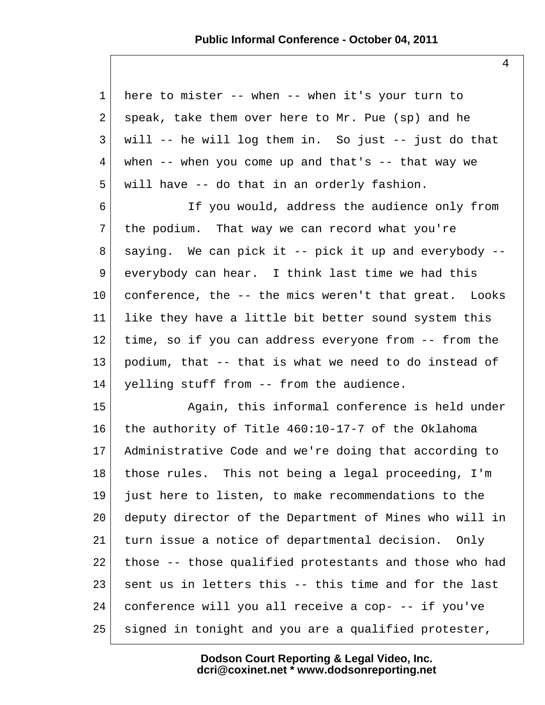1 here to mister -- when -- when it's your turn to 2 speak, take them over here to Mr. Pue (sp) and he  $3$  will  $-$  he will log them in. So just  $-$  just do that  $4 \mid$  when -- when you come up and that's -- that way we  $5$  will have  $-$  do that in an orderly fashion. 6 If you would, address the audience only from  $7$  the podium. That way we can record what you're 8 saying. We can pick it -- pick it up and everybody -- 9 everybody can hear. I think last time we had this  $10$  conference, the  $-$ - the mics weren't that great. Looks 11 like they have a little bit better sound system this 12 time, so if you can address everyone from -- from the 13 podium, that -- that is what we need to do instead of 14 yelling stuff from -- from the audience. 15 Again, this informal conference is held under 16 the authority of Title 460:10-17-7 of the Oklahoma

17 Administrative Code and we're doing that according to 18 those rules. This not being a legal proceeding, I'm 19 just here to listen, to make recommendations to the 20 deputy director of the Department of Mines who will in 21 turn issue a notice of departmental decision. Only 22 those -- those qualified protestants and those who had  $23$  sent us in letters this  $-$ - this time and for the last 24 conference will you all receive a cop- -- if you've 25 signed in tonight and you are a qualified protester,

> **Dodson Court Reporting & Legal Video, Inc. dcri@coxinet.net \* www.dodsonreporting.net**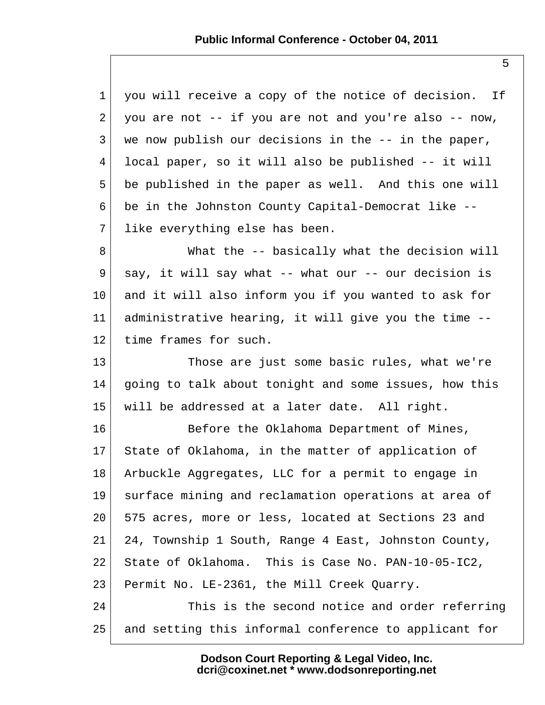| $\mathbf{1}$ | you will receive a copy of the notice of decision.<br>If |
|--------------|----------------------------------------------------------|
| 2            | you are not -- if you are not and you're also -- now,    |
| 3            | we now publish our decisions in the -- in the paper,     |
| 4            | local paper, so it will also be published -- it will     |
| 5            | be published in the paper as well. And this one will     |
| 6            | be in the Johnston County Capital-Democrat like --       |
| 7            | like everything else has been.                           |
| 8            | What the -- basically what the decision will             |
| 9            | say, it will say what -- what our -- our decision is     |
| $10 \,$      | and it will also inform you if you wanted to ask for     |
| 11           | administrative hearing, it will give you the time --     |
| 12           | time frames for such.                                    |
| 13           | Those are just some basic rules, what we're              |
| 14           | going to talk about tonight and some issues, how this    |
| 15           | will be addressed at a later date. All right.            |
| 16           | Before the Oklahoma Department of Mines,                 |
| $17 \,$      | State of Oklahoma, in the matter of application of       |
| 18           | Arbuckle Aggregates, LLC for a permit to engage in       |
| 19           | surface mining and reclamation operations at area of     |
| 20           | 575 acres, more or less, located at Sections 23 and      |
| 21           | 24, Township 1 South, Range 4 East, Johnston County,     |
| 22           | State of Oklahoma. This is Case No. PAN-10-05-IC2,       |
| 23           | Permit No. LE-2361, the Mill Creek Quarry.               |
| 24           | This is the second notice and order referring            |
| 25           | and setting this informal conference to applicant for    |
|              |                                                          |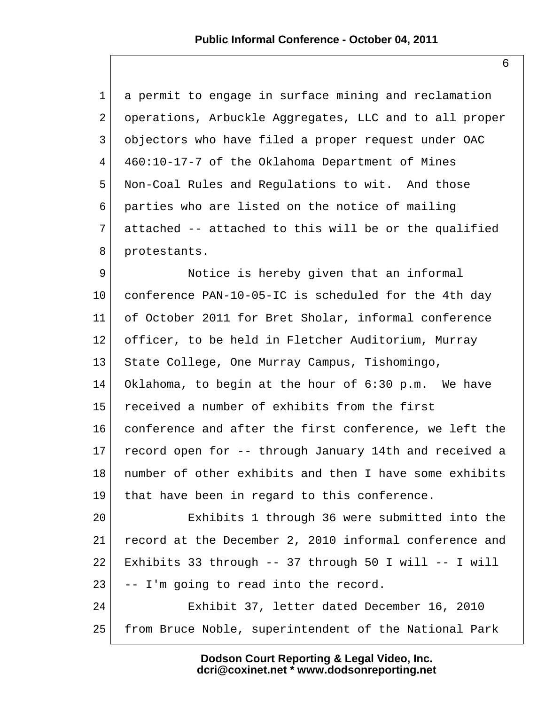| 1              | a permit to engage in surface mining and reclamation   |
|----------------|--------------------------------------------------------|
| $\overline{2}$ | operations, Arbuckle Aggregates, LLC and to all proper |
| 3              | objectors who have filed a proper request under OAC    |
| 4              | 460:10-17-7 of the Oklahoma Department of Mines        |
| 5              | Non-Coal Rules and Regulations to wit. And those       |
| 6              | parties who are listed on the notice of mailing        |
| 7              | attached -- attached to this will be or the qualified  |
| 8              | protestants.                                           |
| 9              | Notice is hereby given that an informal                |
| $10 \,$        | conference PAN-10-05-IC is scheduled for the 4th day   |
| 11             | of October 2011 for Bret Sholar, informal conference   |
| 12             | officer, to be held in Fletcher Auditorium, Murray     |
| 13             | State College, One Murray Campus, Tishomingo,          |
| 14             | Oklahoma, to begin at the hour of 6:30 p.m. We have    |
| 15             | received a number of exhibits from the first           |
| 16             | conference and after the first conference, we left the |
| 17             | record open for -- through January 14th and received a |
| 18             | number of other exhibits and then I have some exhibits |
| 19             | that have been in regard to this conference.           |
| 20             | Exhibits 1 through 36 were submitted into the          |
| 21             | record at the December 2, 2010 informal conference and |
| 22             | Exhibits 33 through -- 37 through 50 I will -- I will  |
| 23             | -- I'm going to read into the record.                  |
| 24             | Exhibit 37, letter dated December 16, 2010             |
| 25             | from Bruce Noble, superintendent of the National Park  |

**Dodson Court Reporting & Legal Video, Inc. dcri@coxinet.net \* www.dodsonreporting.net**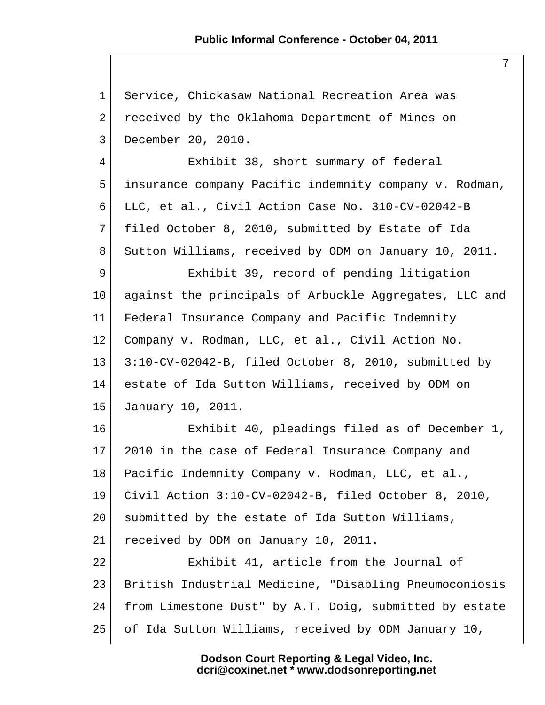7

 1 Service, Chickasaw National Recreation Area was 2 received by the Oklahoma Department of Mines on 3 December 20, 2010. 4 Exhibit 38, short summary of federal 5 insurance company Pacific indemnity company v. Rodman, 6 LLC, et al., Civil Action Case No. 310-CV-02042-B 7 filed October 8, 2010, submitted by Estate of Ida 8 Sutton Williams, received by ODM on January 10, 2011. 9 Exhibit 39, record of pending litigation 10 against the principals of Arbuckle Aggregates, LLC and 11 Federal Insurance Company and Pacific Indemnity 12 Company v. Rodman, LLC, et al., Civil Action No. 13 3:10-CV-02042-B, filed October 8, 2010, submitted by 14 estate of Ida Sutton Williams, received by ODM on 15 January 10, 2011. 16 Exhibit 40, pleadings filed as of December 1, 17 2010 in the case of Federal Insurance Company and 18 Pacific Indemnity Company v. Rodman, LLC, et al., 19 Civil Action 3:10-CV-02042-B, filed October 8, 2010, 20 submitted by the estate of Ida Sutton Williams, 21 received by ODM on January 10, 2011. 22 Exhibit 41, article from the Journal of 23 British Industrial Medicine, "Disabling Pneumoconiosis 24 from Limestone Dust" by A.T. Doig, submitted by estate 25 of Ida Sutton Williams, received by ODM January 10,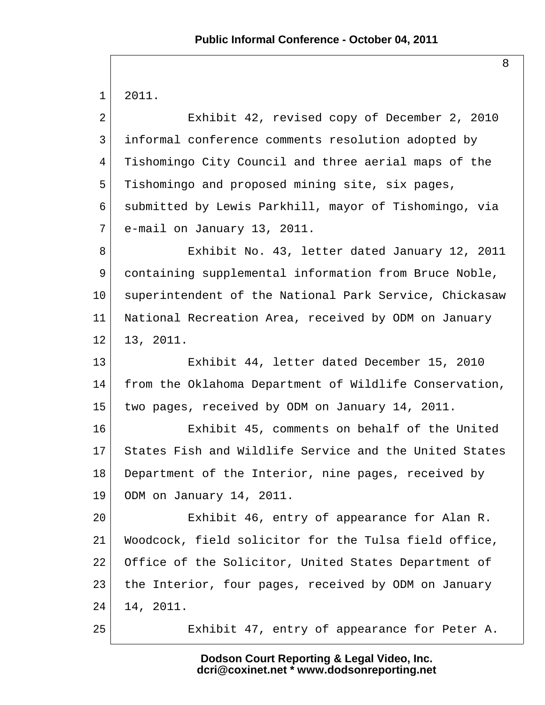1 2011.

 2 Exhibit 42, revised copy of December 2, 2010 3 informal conference comments resolution adopted by 4 Tishomingo City Council and three aerial maps of the 5 Tishomingo and proposed mining site, six pages, 6 submitted by Lewis Parkhill, mayor of Tishomingo, via 7 e-mail on January 13, 2011. 8 Exhibit No. 43, letter dated January 12, 2011 9 containing supplemental information from Bruce Noble, 10 superintendent of the National Park Service, Chickasaw 11 National Recreation Area, received by ODM on January 12 13, 2011. 13 Exhibit 44, letter dated December 15, 2010 14 from the Oklahoma Department of Wildlife Conservation, 15 two pages, received by ODM on January 14, 2011. 16 Exhibit 45, comments on behalf of the United 17 States Fish and Wildlife Service and the United States 18 Department of the Interior, nine pages, received by 19 ODM on January 14, 2011. 20 Exhibit 46, entry of appearance for Alan R. 21 Woodcock, field solicitor for the Tulsa field office, 22 Office of the Solicitor, United States Department of 23 the Interior, four pages, received by ODM on January 24 14, 2011. 25 Exhibit 47, entry of appearance for Peter A.

> **Dodson Court Reporting & Legal Video, Inc. dcri@coxinet.net \* www.dodsonreporting.net**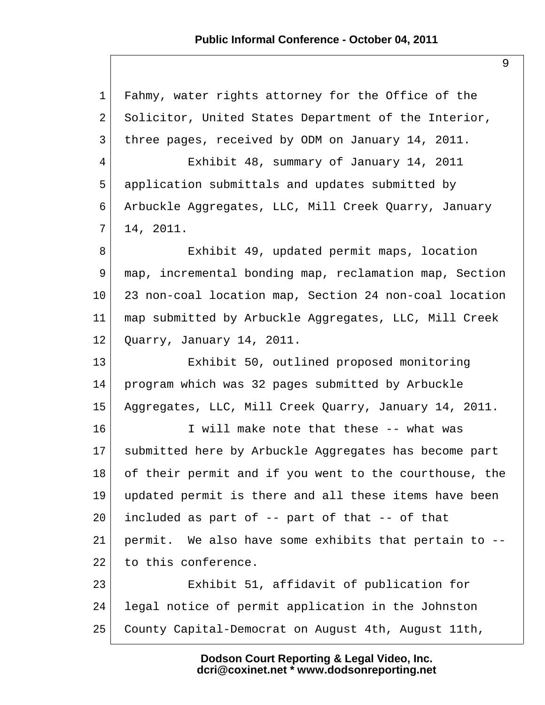1 Fahmy, water rights attorney for the Office of the 2 Solicitor, United States Department of the Interior, 3 three pages, received by ODM on January 14, 2011. 4 Exhibit 48, summary of January 14, 2011 5 application submittals and updates submitted by 6 Arbuckle Aggregates, LLC, Mill Creek Quarry, January  $7$  14, 2011. 8 Exhibit 49, updated permit maps, location 9 map, incremental bonding map, reclamation map, Section 10 23 non-coal location map, Section 24 non-coal location 11 map submitted by Arbuckle Aggregates, LLC, Mill Creek 12 Quarry, January 14, 2011. 13 Exhibit 50, outlined proposed monitoring 14 program which was 32 pages submitted by Arbuckle 15 Aggregates, LLC, Mill Creek Quarry, January 14, 2011. 16 I will make note that these -- what was 17 submitted here by Arbuckle Aggregates has become part 18 of their permit and if you went to the courthouse, the 19 updated permit is there and all these items have been 20 included as part of -- part of that -- of that 21 permit. We also have some exhibits that pertain to -- 22 to this conference. 23 Exhibit 51, affidavit of publication for 24 legal notice of permit application in the Johnston 25 County Capital-Democrat on August 4th, August 11th,

> **Dodson Court Reporting & Legal Video, Inc. dcri@coxinet.net \* www.dodsonreporting.net**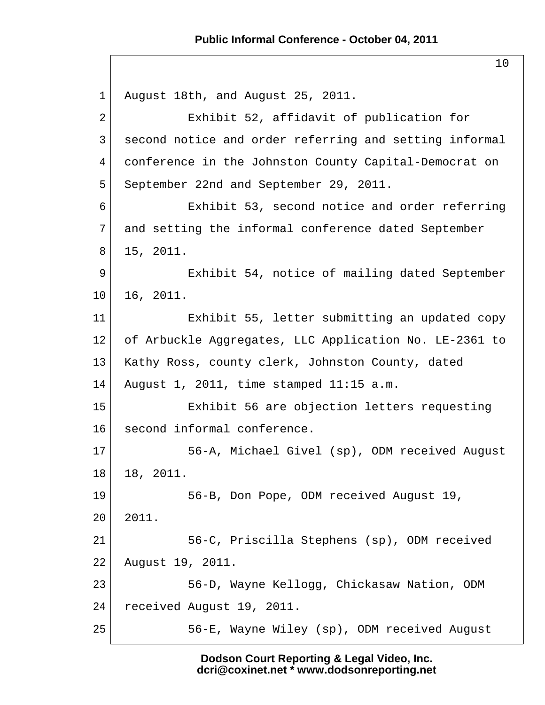#### **Public Informal Conference - October 04, 2011**

10

1 August 18th, and August 25, 2011. 2 Exhibit 52, affidavit of publication for 3 second notice and order referring and setting informal 4 conference in the Johnston County Capital-Democrat on 5 September 22nd and September 29, 2011. 6 Exhibit 53, second notice and order referring 7 and setting the informal conference dated September 8 15, 2011. 9 Exhibit 54, notice of mailing dated September 10 16, 2011. 11 Exhibit 55, letter submitting an updated copy 12 of Arbuckle Aggregates, LLC Application No. LE-2361 to 13 | Kathy Ross, county clerk, Johnston County, dated 14 August 1, 2011, time stamped  $11:15$  a.m. 15 Exhibit 56 are objection letters requesting 16 second informal conference. 17 56-A, Michael Givel (sp), ODM received August 18 18, 2011. 19 56-B, Don Pope, ODM received August 19, 20 2011. 21 56-C, Priscilla Stephens (sp), ODM received 22 August 19, 2011. 23 56-D, Wayne Kellogg, Chickasaw Nation, ODM 24 received August 19, 2011. 25 56-E, Wayne Wiley (sp), ODM received August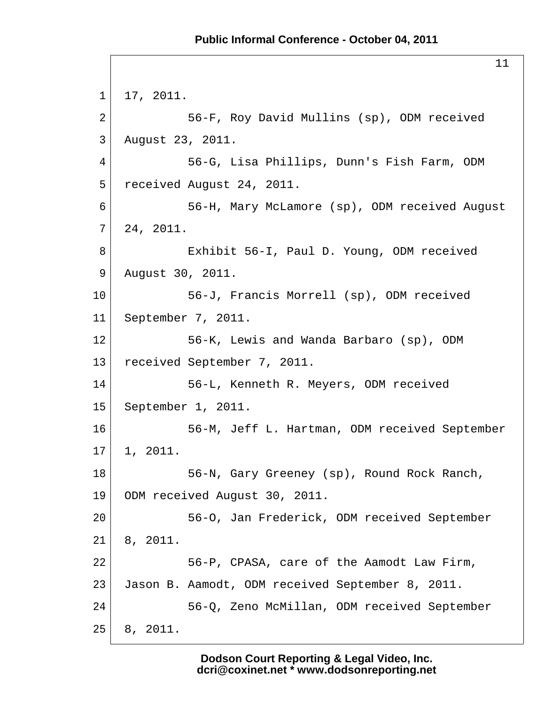11 1 17, 2011. 2 56-F, Roy David Mullins (sp), ODM received 3 August 23, 2011. 4 56-G, Lisa Phillips, Dunn's Fish Farm, ODM 5 received August 24, 2011. 6 56-H, Mary McLamore (sp), ODM received August  $7 | 24, 2011.$ 8 Exhibit 56-I, Paul D. Young, ODM received 9 August 30, 2011. 10 56-J, Francis Morrell (sp), ODM received 11 September 7, 2011. 12 56-K, Lewis and Wanda Barbaro (sp), ODM 13 received September 7, 2011. 14 56-L, Kenneth R. Meyers, ODM received 15 September 1, 2011. 16 56-M, Jeff L. Hartman, ODM received September  $17$  1, 2011. 18 56-N, Gary Greeney (sp), Round Rock Ranch, 19 ODM received August 30, 2011. 20 56-O, Jan Frederick, ODM received September  $21$  8, 2011. 22 56-P, CPASA, care of the Aamodt Law Firm, 23 Jason B. Aamodt, ODM received September 8, 2011. 24 56-Q, Zeno McMillan, ODM received September 25 8, 2011.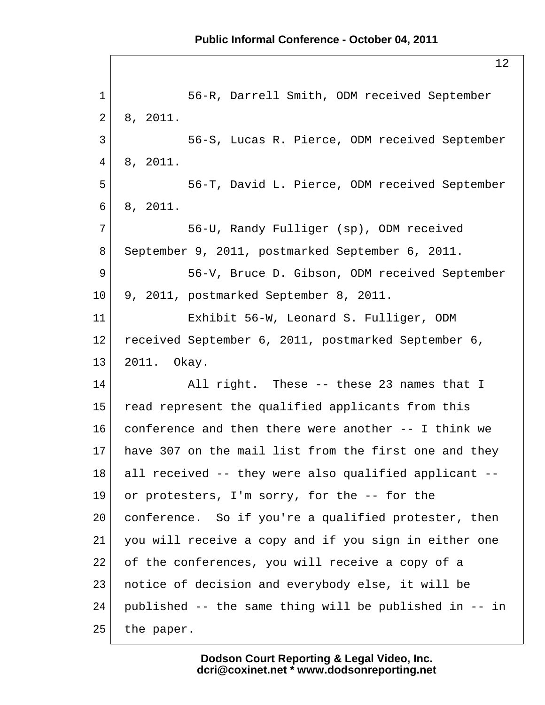1 56-R, Darrell Smith, ODM received September  $2 \mid 8, 2011.$  3 56-S, Lucas R. Pierce, ODM received September  $4 \mid 8, 2011.$  5 56-T, David L. Pierce, ODM received September 6 8, 2011. 7 56-U, Randy Fulliger (sp), ODM received 8 September 9, 2011, postmarked September 6, 2011. 9 56-V, Bruce D. Gibson, ODM received September 10 9, 2011, postmarked September 8, 2011. 11 Exhibit 56-W, Leonard S. Fulliger, ODM 12 received September 6, 2011, postmarked September 6, 13 2011. Okay. 14 All right. These -- these 23 names that I 15 read represent the qualified applicants from this 16 conference and then there were another -- I think we 17 have 307 on the mail list from the first one and they 18 all received -- they were also qualified applicant -- 19 or protesters, I'm sorry, for the -- for the 20 conference. So if you're a qualified protester, then 21 you will receive a copy and if you sign in either one 22 of the conferences, you will receive a copy of a 23 notice of decision and everybody else, it will be 24 published -- the same thing will be published in -- in  $25$  the paper.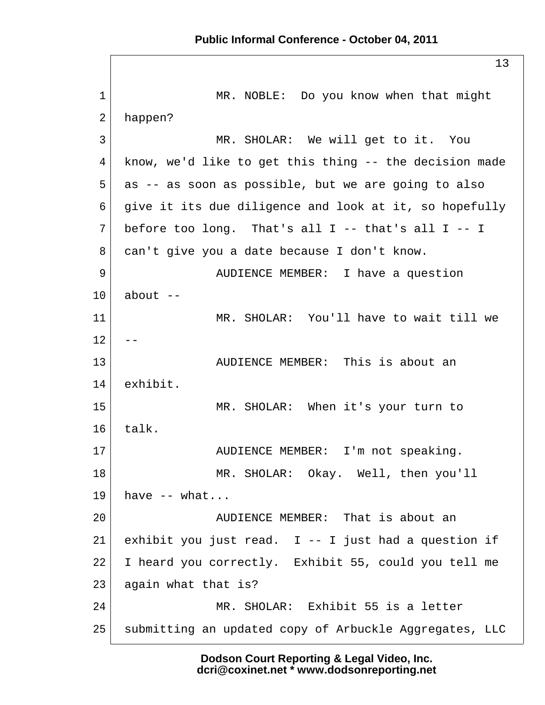1 MR. NOBLE: Do you know when that might 2 happen? 3 MR. SHOLAR: We will get to it. You 4 know, we'd like to get this thing -- the decision made 5 as -- as soon as possible, but we are going to also 6 give it its due diligence and look at it, so hopefully  $7$  before too long. That's all I -- that's all I -- I 8 can't give you a date because I don't know. 9 AUDIENCE MEMBER: I have a question  $10$  about  $-$ 11 MR. SHOLAR: You'll have to wait till we  $12$  --13 AUDIENCE MEMBER: This is about an 14 exhibit. 15 MR. SHOLAR: When it's your turn to  $16$  talk. 17 AUDIENCE MEMBER: I'm not speaking. 18 MR. SHOLAR: Okay. Well, then you'll  $19$  have  $-$  what... 20 AUDIENCE MEMBER: That is about an 21 exhibit you just read. I -- I just had a question if 22 I heard you correctly. Exhibit 55, could you tell me 23 again what that is? 24 MR. SHOLAR: Exhibit 55 is a letter 25 submitting an updated copy of Arbuckle Aggregates, LLC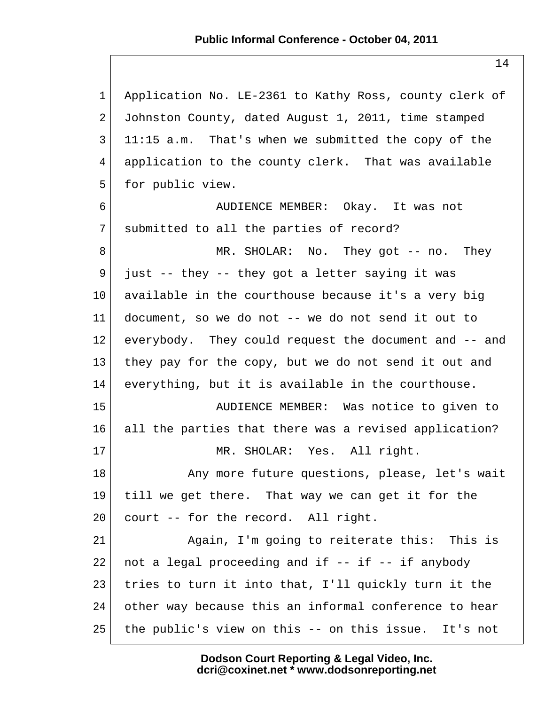1 Application No. LE-2361 to Kathy Ross, county clerk of 2 Johnston County, dated August 1, 2011, time stamped  $3 \mid 11:15$  a.m. That's when we submitted the copy of the 4 application to the county clerk. That was available 5 for public view. 6 AUDIENCE MEMBER: Okay. It was not 7 submitted to all the parties of record? 8 MR. SHOLAR: No. They got -- no. They  $9$  just -- they -- they got a letter saying it was 10 available in the courthouse because it's a very big 11 document, so we do not -- we do not send it out to 12 everybody. They could request the document and -- and 13 they pay for the copy, but we do not send it out and 14 everything, but it is available in the courthouse. 15 AUDIENCE MEMBER: Was notice to given to 16 all the parties that there was a revised application? 17 MR. SHOLAR: Yes. All right. 18 Any more future questions, please, let's wait 19 till we get there. That way we can get it for the 20 court -- for the record. All right. 21 Again, I'm going to reiterate this: This is 22 | not a legal proceeding and if  $-$ - if  $-$ - if anybody 23 tries to turn it into that, I'll quickly turn it the 24 other way because this an informal conference to hear 25 the public's view on this -- on this issue. It's not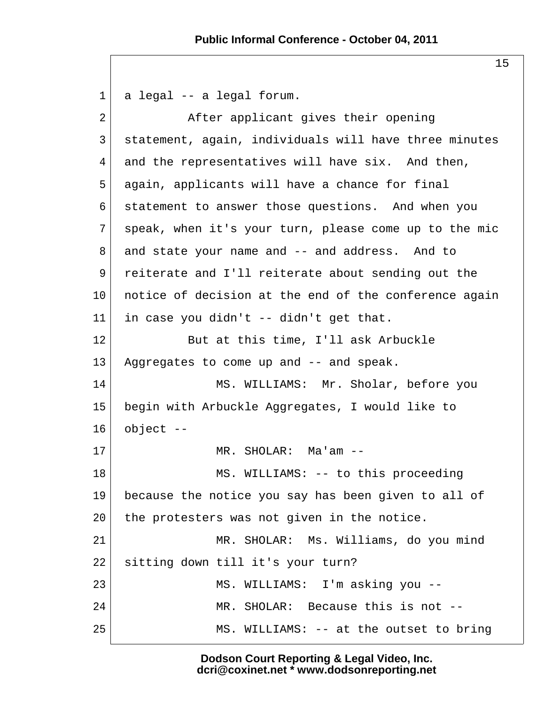1| a legal -- a legal forum. 2 After applicant gives their opening 3 statement, again, individuals will have three minutes 4 and the representatives will have six. And then, 5 again, applicants will have a chance for final 6 statement to answer those questions. And when you 7 speak, when it's your turn, please come up to the mic 8 and state your name and -- and address. And to 9 reiterate and I'll reiterate about sending out the 10 notice of decision at the end of the conference again 11 in case you didn't  $-$ - didn't get that. 12 But at this time, I'll ask Arbuckle 13 Aggregates to come up and -- and speak. 14 MS. WILLIAMS: Mr. Sholar, before you 15 begin with Arbuckle Aggregates, I would like to  $16$  object  $-$ 17 MR. SHOLAR: Ma'am --18 MS. WILLIAMS: -- to this proceeding 19 because the notice you say has been given to all of 20 the protesters was not given in the notice. 21 MR. SHOLAR: Ms. Williams, do you mind 22 sitting down till it's your turn? 23 MS. WILLIAMS: I'm asking you --24 MR. SHOLAR: Because this is not --25 MS. WILLIAMS: -- at the outset to bring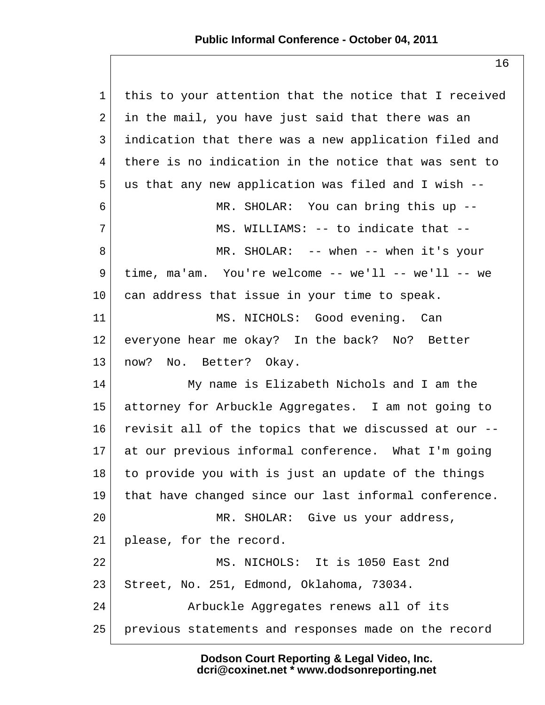# **Public Informal Conference - October 04, 2011**

| $\mathbf{1}$    | this to your attention that the notice that I received |
|-----------------|--------------------------------------------------------|
| 2               | in the mail, you have just said that there was an      |
| 3               | indication that there was a new application filed and  |
| 4               | there is no indication in the notice that was sent to  |
| 5               | us that any new application was filed and I wish --    |
| 6               | MR. SHOLAR: You can bring this up --                   |
| 7               | MS. WILLIAMS: -- to indicate that --                   |
| 8               | MR. SHOLAR: $--$ when $--$ when it's your              |
| 9               | time, $ma$ 'am. You're welcome -- we'll -- we'll -- we |
| 10              | can address that issue in your time to speak.          |
| 11              | MS. NICHOLS: Good evening. Can                         |
| 12              | everyone hear me okay? In the back? No? Better         |
| 13              | now? No. Better? Okay.                                 |
| 14              | My name is Elizabeth Nichols and I am the              |
| 15 <sub>1</sub> | attorney for Arbuckle Aggregates. I am not going to    |
| 16              | revisit all of the topics that we discussed at our --  |
| 17 <sub>2</sub> | at our previous informal conference. What I'm going    |
| 18              | to provide you with is just an update of the things    |
| 19              | that have changed since our last informal conference.  |
| 20              | MR. SHOLAR: Give us your address,                      |
| 21              | please, for the record.                                |
| 22              | MS. NICHOLS: It is 1050 East 2nd                       |
| 23              | Street, No. 251, Edmond, Oklahoma, 73034.              |
| 24              | Arbuckle Aggregates renews all of its                  |
| 25              | previous statements and responses made on the record   |
|                 |                                                        |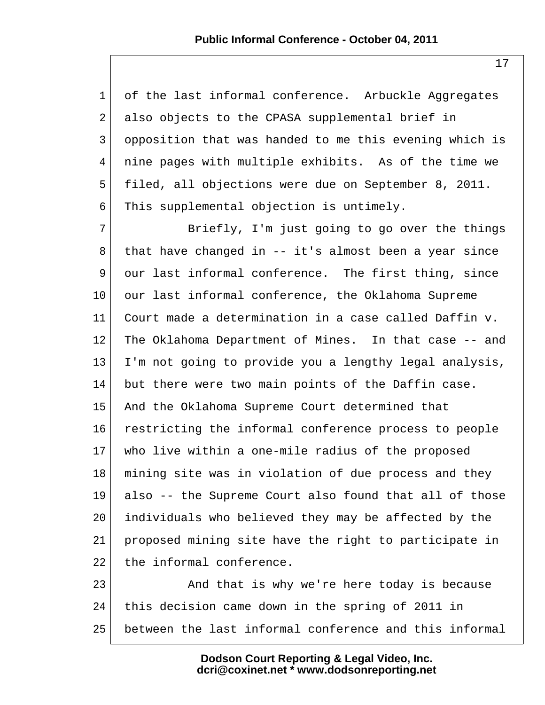| $\mathbf{1}$    | of the last informal conference. Arbuckle Aggregates   |
|-----------------|--------------------------------------------------------|
| 2               | also objects to the CPASA supplemental brief in        |
| 3               | opposition that was handed to me this evening which is |
| $\overline{4}$  | nine pages with multiple exhibits. As of the time we   |
| 5               | filed, all objections were due on September 8, 2011.   |
| 6               | This supplemental objection is untimely.               |
| 7               | Briefly, I'm just going to go over the things          |
| 8               | that have changed in -- it's almost been a year since  |
| 9               | our last informal conference. The first thing, since   |
| $10 \,$         | our last informal conference, the Oklahoma Supreme     |
| 11              | Court made a determination in a case called Daffin v.  |
| $12 \,$         | The Oklahoma Department of Mines. In that case -- and  |
| 13              | I'm not going to provide you a lengthy legal analysis, |
| 14              | but there were two main points of the Daffin case.     |
| 15              | And the Oklahoma Supreme Court determined that         |
| 16              | restricting the informal conference process to people  |
| 17 <sup>2</sup> | who live within a one-mile radius of the proposed      |
| 18              | mining site was in violation of due process and they   |
| 19              | also -- the Supreme Court also found that all of those |
| 20              | individuals who believed they may be affected by the   |
| 21              | proposed mining site have the right to participate in  |
| 22              | the informal conference.                               |
| 23              | And that is why we're here today is because            |
| 24              | this decision came down in the spring of 2011 in       |
| 25              | between the last informal conference and this informal |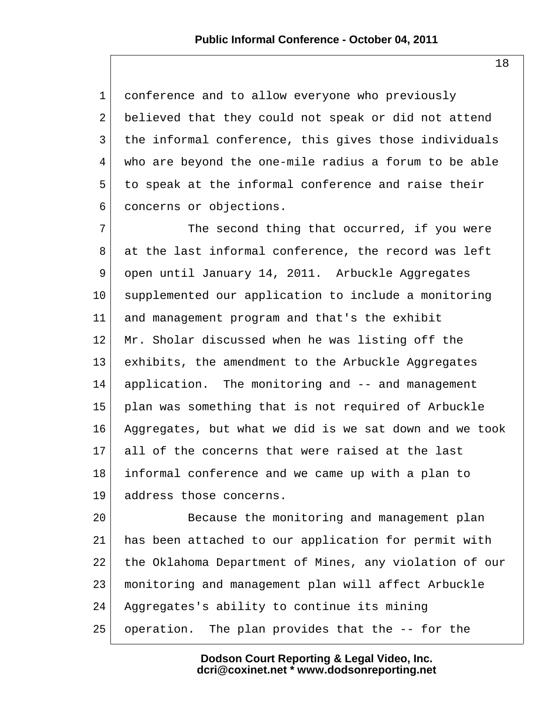1 conference and to allow everyone who previously 2 believed that they could not speak or did not attend 3 the informal conference, this gives those individuals 4 who are beyond the one-mile radius a forum to be able 5 to speak at the informal conference and raise their 6 concerns or objections.

 $7$  The second thing that occurred, if you were 8 at the last informal conference, the record was left 9 open until January 14, 2011. Arbuckle Aggregates 10 supplemented our application to include a monitoring 11 and management program and that's the exhibit 12 Mr. Sholar discussed when he was listing off the 13 exhibits, the amendment to the Arbuckle Aggregates 14 application. The monitoring and -- and management 15 plan was something that is not required of Arbuckle 16 Aggregates, but what we did is we sat down and we took 17 all of the concerns that were raised at the last 18 informal conference and we came up with a plan to 19 address those concerns.

20 Because the monitoring and management plan 21 has been attached to our application for permit with 22 the Oklahoma Department of Mines, any violation of our 23 monitoring and management plan will affect Arbuckle 24 Aggregates's ability to continue its mining 25 operation. The plan provides that the -- for the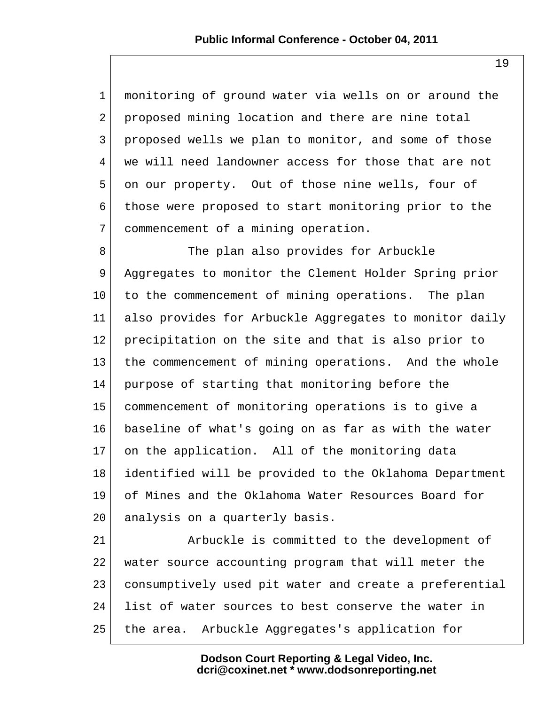1 monitoring of ground water via wells on or around the 2 proposed mining location and there are nine total 3 proposed wells we plan to monitor, and some of those 4 we will need landowner access for those that are not 5 on our property. Out of those nine wells, four of 6 those were proposed to start monitoring prior to the 7 commencement of a mining operation.

8 The plan also provides for Arbuckle 9 Aggregates to monitor the Clement Holder Spring prior 10 to the commencement of mining operations. The plan 11 also provides for Arbuckle Aggregates to monitor daily 12 precipitation on the site and that is also prior to 13 | the commencement of mining operations. And the whole 14 purpose of starting that monitoring before the 15 commencement of monitoring operations is to give a 16 baseline of what's going on as far as with the water 17 on the application. All of the monitoring data 18 identified will be provided to the Oklahoma Department 19 of Mines and the Oklahoma Water Resources Board for 20 analysis on a quarterly basis.

21 Arbuckle is committed to the development of 22 water source accounting program that will meter the 23 consumptively used pit water and create a preferential 24 list of water sources to best conserve the water in 25 the area. Arbuckle Aggregates's application for

> **Dodson Court Reporting & Legal Video, Inc. dcri@coxinet.net \* www.dodsonreporting.net**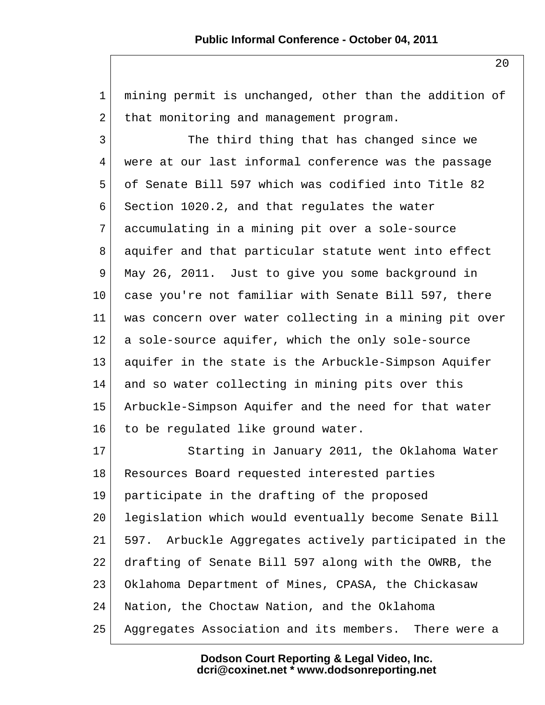| $\mathbf{1}$ | mining permit is unchanged, other than the addition of   |
|--------------|----------------------------------------------------------|
| 2            | that monitoring and management program.                  |
| 3            | The third thing that has changed since we                |
| 4            | were at our last informal conference was the passage     |
| 5            | of Senate Bill 597 which was codified into Title 82      |
| 6            | Section 1020.2, and that regulates the water             |
| 7            | accumulating in a mining pit over a sole-source          |
| 8            | aquifer and that particular statute went into effect     |
| 9            | May 26, 2011. Just to give you some background in        |
| $10 \,$      | case you're not familiar with Senate Bill 597, there     |
| 11           | was concern over water collecting in a mining pit over   |
| 12           | a sole-source aquifer, which the only sole-source        |
| 13           | aquifer in the state is the Arbuckle-Simpson Aquifer     |
| 14           | and so water collecting in mining pits over this         |
| 15           | Arbuckle-Simpson Aquifer and the need for that water     |
| 16           | to be regulated like ground water.                       |
| 17           | Starting in January 2011, the Oklahoma Water             |
| 18           | Resources Board requested interested parties             |
| 19           | participate in the drafting of the proposed              |
| 20           | legislation which would eventually become Senate Bill    |
| 21           | Arbuckle Aggregates actively participated in the<br>597. |
| 22           | drafting of Senate Bill 597 along with the OWRB, the     |
| 23           | Oklahoma Department of Mines, CPASA, the Chickasaw       |
| 24           | Nation, the Choctaw Nation, and the Oklahoma             |
| 25           | Aggregates Association and its members.<br>There were a  |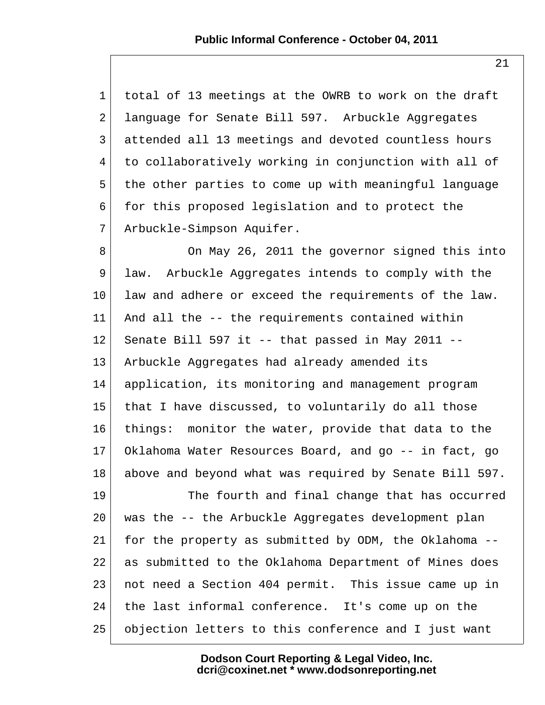| $\mathbf{1}$   | total of 13 meetings at the OWRB to work on the draft  |
|----------------|--------------------------------------------------------|
| $\overline{a}$ | language for Senate Bill 597. Arbuckle Aggregates      |
| 3              | attended all 13 meetings and devoted countless hours   |
| 4              | to collaboratively working in conjunction with all of  |
| 5              | the other parties to come up with meaningful language  |
| 6              | for this proposed legislation and to protect the       |
| 7              | Arbuckle-Simpson Aquifer.                              |
| 8              | On May 26, 2011 the governor signed this into          |
| 9              | Arbuckle Aggregates intends to comply with the<br>law. |
| 10             | law and adhere or exceed the requirements of the law.  |
| 11             | And all the -- the requirements contained within       |
| 12             | Senate Bill 597 it -- that passed in May 2011 --       |
| 13             | Arbuckle Aggregates had already amended its            |
| 14             | application, its monitoring and management program     |
| 15             | that I have discussed, to voluntarily do all those     |
| 16             | things: monitor the water, provide that data to the    |
| 17             | Oklahoma Water Resources Board, and go -- in fact, go  |
| 18             | above and beyond what was required by Senate Bill 597. |
| 19             | The fourth and final change that has occurred          |
| 20             | was the -- the Arbuckle Aggregates development plan    |
| 21             | for the property as submitted by ODM, the Oklahoma --  |
| 22             | as submitted to the Oklahoma Department of Mines does  |
| 23             | not need a Section 404 permit. This issue came up in   |
| 24             | the last informal conference. It's come up on the      |

 $25$  objection letters to this conference and I just want

**Dodson Court Reporting & Legal Video, Inc. dcri@coxinet.net \* www.dodsonreporting.net**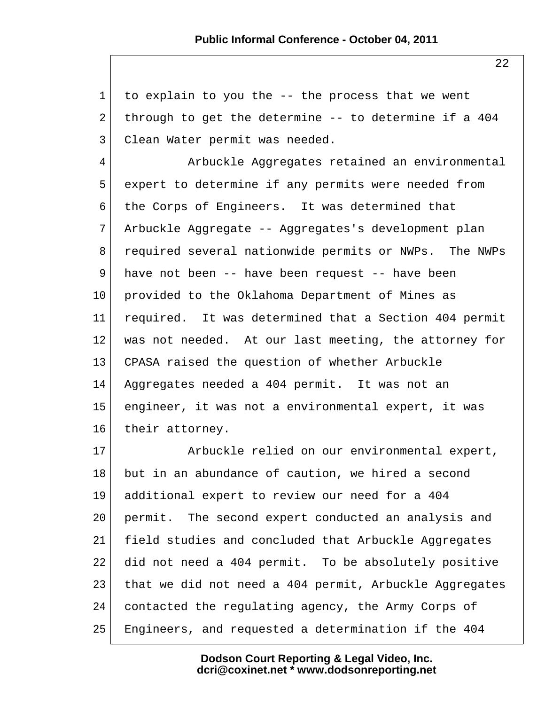1 to explain to you the -- the process that we went 2 through to get the determine  $-$  to determine if a 404 3 Clean Water permit was needed. 4 Arbuckle Aggregates retained an environmental 5 expert to determine if any permits were needed from 6 the Corps of Engineers. It was determined that 7 Arbuckle Aggregate -- Aggregates's development plan 8 required several nationwide permits or NWPs. The NWPs 9 have not been -- have been request -- have been 10 provided to the Oklahoma Department of Mines as 11 required. It was determined that a Section 404 permit 12 was not needed. At our last meeting, the attorney for 13 CPASA raised the question of whether Arbuckle 14 Aggregates needed a 404 permit. It was not an 15 engineer, it was not a environmental expert, it was 16 their attorney. 17 Arbuckle relied on our environmental expert, 18 but in an abundance of caution, we hired a second 19 additional expert to review our need for a 404 20 permit. The second expert conducted an analysis and 21 field studies and concluded that Arbuckle Aggregates 22 did not need a 404 permit. To be absolutely positive 23 that we did not need a 404 permit, Arbuckle Aggregates 24 contacted the regulating agency, the Army Corps of

25 Engineers, and requested a determination if the 404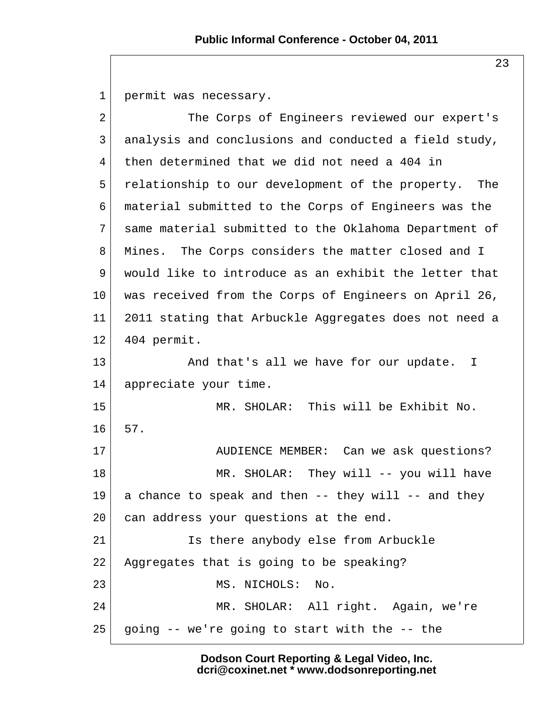1 permit was necessary. 2 The Corps of Engineers reviewed our expert's 3 analysis and conclusions and conducted a field study, 4 then determined that we did not need a 404 in 5 relationship to our development of the property. The 6 material submitted to the Corps of Engineers was the 7 same material submitted to the Oklahoma Department of 8 Mines. The Corps considers the matter closed and I 9 would like to introduce as an exhibit the letter that 10 was received from the Corps of Engineers on April 26, 11 2011 stating that Arbuckle Aggregates does not need a 12 404 permit. 13 And that's all we have for our update. I 14 appreciate your time. 15 MR. SHOLAR: This will be Exhibit No. 16 57. 17 AUDIENCE MEMBER: Can we ask questions? 18 MR. SHOLAR: They will -- you will have  $19$  a chance to speak and then  $-$  they will  $-$  and they 20 can address your questions at the end. 21 Is there anybody else from Arbuckle 22 Aggregates that is going to be speaking? 23 MS. NICHOLS: No. 24 MR. SHOLAR: All right. Again, we're  $25$  going -- we're going to start with the -- the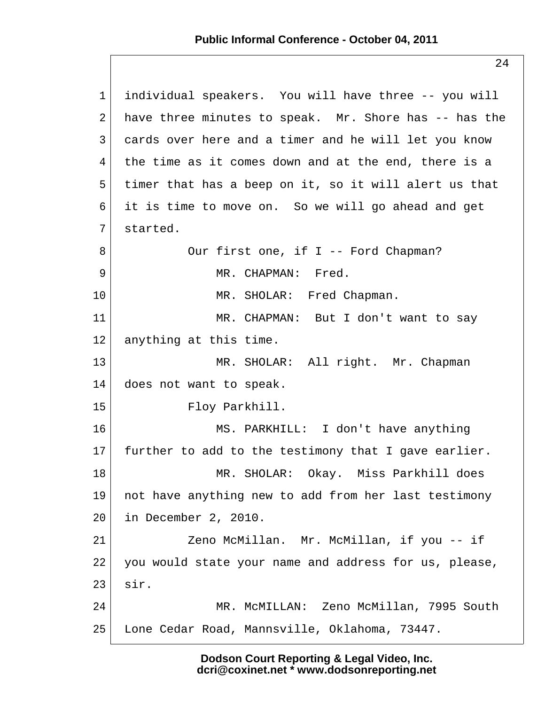| $\mathbf 1$    | individual speakers. You will have three -- you will  |
|----------------|-------------------------------------------------------|
| 2              | have three minutes to speak. Mr. Shore has -- has the |
| $\mathfrak{Z}$ | cards over here and a timer and he will let you know  |
| 4              | the time as it comes down and at the end, there is a  |
| 5              | timer that has a beep on it, so it will alert us that |
| 6              | it is time to move on. So we will go ahead and get    |
| 7              | started.                                              |
| 8              | Our first one, if I -- Ford Chapman?                  |
| 9              | MR. CHAPMAN: Fred.                                    |
| 10             | MR. SHOLAR: Fred Chapman.                             |
| 11             | MR. CHAPMAN: But I don't want to say                  |
| 12             | anything at this time.                                |
| 13             | MR. SHOLAR: All right. Mr. Chapman                    |
| 14             | does not want to speak.                               |
| 15             | Floy Parkhill.                                        |
| 16             | MS. PARKHILL: I don't have anything                   |
| $17 \,$        | further to add to the testimony that I gave earlier.  |
| 18             | MR. SHOLAR: Okay. Miss Parkhill does                  |
| 19             | not have anything new to add from her last testimony  |
| 20             | in December 2, 2010.                                  |
| 21             | Zeno McMillan. Mr. McMillan, if you -- if             |
| 22             | you would state your name and address for us, please, |
| 23             | sir.                                                  |
| 24             | MR. MCMILLAN: Zeno McMillan, 7995 South               |
| 25             | Lone Cedar Road, Mannsville, Oklahoma, 73447.         |
|                |                                                       |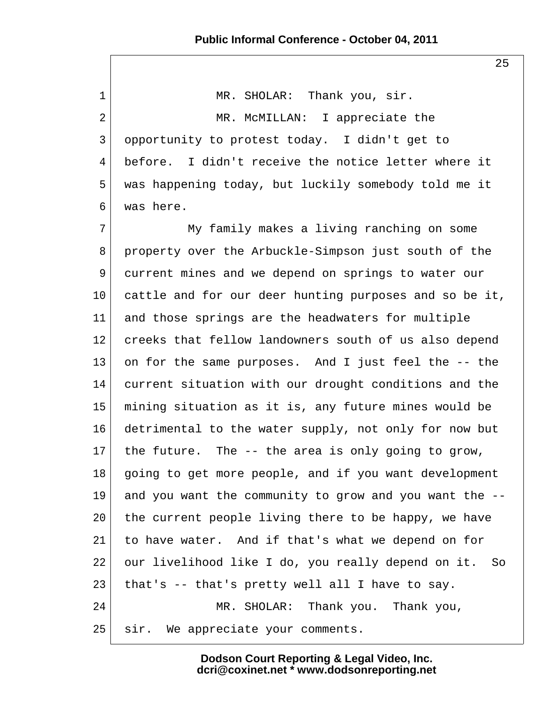1 MR. SHOLAR: Thank you, sir. 2 MR. McMILLAN: I appreciate the 3 opportunity to protest today. I didn't get to 4 before. I didn't receive the notice letter where it 5 was happening today, but luckily somebody told me it 6 was here. 7 My family makes a living ranching on some 8 property over the Arbuckle-Simpson just south of the 9 current mines and we depend on springs to water our 10 cattle and for our deer hunting purposes and so be it, 11 and those springs are the headwaters for multiple 12 creeks that fellow landowners south of us also depend 13 on for the same purposes. And I just feel the -- the 14 current situation with our drought conditions and the 15 mining situation as it is, any future mines would be 16 detrimental to the water supply, not only for now but 17 the future. The  $-$ - the area is only going to grow, 18 going to get more people, and if you want development 19 and you want the community to grow and you want the -- 20 the current people living there to be happy, we have 21 to have water. And if that's what we depend on for 22 our livelihood like I do, you really depend on it. So 23 that's  $-$  that's pretty well all I have to say. 24 MR. SHOLAR: Thank you. Thank you, 25 | sir. We appreciate your comments.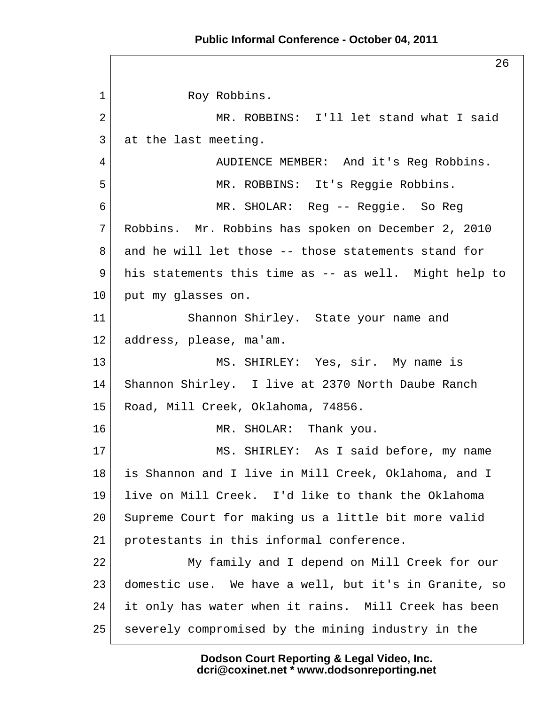26 1 Roy Robbins. 2 MR. ROBBINS: I'll let stand what I said 3 at the last meeting. 4 AUDIENCE MEMBER: And it's Req Robbins. 5 MR. ROBBINS: It's Reggie Robbins. 6 MR. SHOLAR: Reg -- Reggie. So Reg 7 Robbins. Mr. Robbins has spoken on December 2, 2010 8 and he will let those -- those statements stand for 9 his statements this time as -- as well. Might help to 10 put my glasses on. 11 Shannon Shirley. State your name and 12 address, please, ma'am. 13 MS. SHIRLEY: Yes, sir. My name is 14 Shannon Shirley. I live at 2370 North Daube Ranch 15 Road, Mill Creek, Oklahoma, 74856. 16 MR. SHOLAR: Thank you. 17 MS. SHIRLEY: As I said before, my name 18 is Shannon and I live in Mill Creek, Oklahoma, and I 19 live on Mill Creek. I'd like to thank the Oklahoma 20 Supreme Court for making us a little bit more valid 21 protestants in this informal conference. 22 My family and I depend on Mill Creek for our 23 domestic use. We have a well, but it's in Granite, so 24 it only has water when it rains. Mill Creek has been 25 severely compromised by the mining industry in the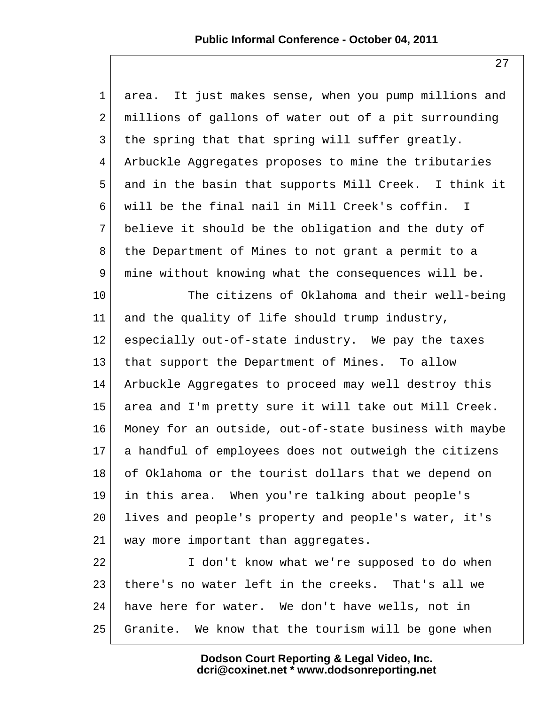| $\mathbf{1}$    | area. It just makes sense, when you pump millions and          |
|-----------------|----------------------------------------------------------------|
| 2               | millions of gallons of water out of a pit surrounding          |
| 3               | the spring that that spring will suffer greatly.               |
| 4               | Arbuckle Aggregates proposes to mine the tributaries           |
| 5               | and in the basin that supports Mill Creek. I think it          |
| 6               | will be the final nail in Mill Creek's coffin.<br>$\mathbb{I}$ |
| 7               | believe it should be the obligation and the duty of            |
| 8               | the Department of Mines to not grant a permit to a             |
| 9               | mine without knowing what the consequences will be.            |
| 10              | The citizens of Oklahoma and their well-being                  |
| 11              | and the quality of life should trump industry,                 |
| 12              | especially out-of-state industry. We pay the taxes             |
| 13              | that support the Department of Mines. To allow                 |
| 14              | Arbuckle Aggregates to proceed may well destroy this           |
| 15              | area and I'm pretty sure it will take out Mill Creek.          |
| 16              | Money for an outside, out-of-state business with maybe         |
| 17 <sub>2</sub> | a handful of employees does not outweigh the citizens          |
| 18              | of Oklahoma or the tourist dollars that we depend on           |
| 19              | in this area. When you're talking about people's               |
| 20              | lives and people's property and people's water, it's           |
| 21              | way more important than aggregates.                            |
| 22              | I don't know what we're supposed to do when                    |
| 23              | there's no water left in the creeks. That's all we             |
| 24              | have here for water. We don't have wells, not in               |
| 25              | Granite. We know that the tourism will be gone when            |

**Dodson Court Reporting & Legal Video, Inc. dcri@coxinet.net \* www.dodsonreporting.net**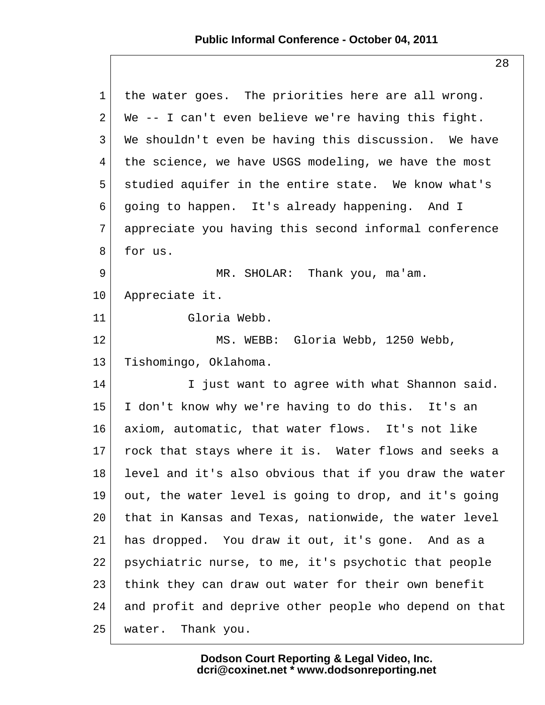| $\mathbf 1$ | the water goes. The priorities here are all wrong.     |
|-------------|--------------------------------------------------------|
| 2           | We -- I can't even believe we're having this fight.    |
| 3           | We shouldn't even be having this discussion. We have   |
| 4           | the science, we have USGS modeling, we have the most   |
| 5           | studied aquifer in the entire state. We know what's    |
| 6           | going to happen. It's already happening. And I         |
| 7           | appreciate you having this second informal conference  |
| 8           | for us.                                                |
| 9           | MR. SHOLAR: Thank you, ma'am.                          |
| 10          | Appreciate it.                                         |
| 11          | Gloria Webb.                                           |
| 12          | MS. WEBB: Gloria Webb, 1250 Webb,                      |
| 13          | Tishomingo, Oklahoma.                                  |
| 14          | I just want to agree with what Shannon said.           |
| 15          | I don't know why we're having to do this. It's an      |
| 16          | axiom, automatic, that water flows. It's not like      |
| $17 \,$     | rock that stays where it is. Water flows and seeks a   |
| 18          | level and it's also obvious that if you draw the water |
| 19          | out, the water level is going to drop, and it's going  |
| 20          | that in Kansas and Texas, nationwide, the water level  |
| 21          | has dropped. You draw it out, it's gone. And as a      |
| 22          | psychiatric nurse, to me, it's psychotic that people   |
| 23          | think they can draw out water for their own benefit    |
| 24          | and profit and deprive other people who depend on that |
| 25          | Thank you.<br>water.                                   |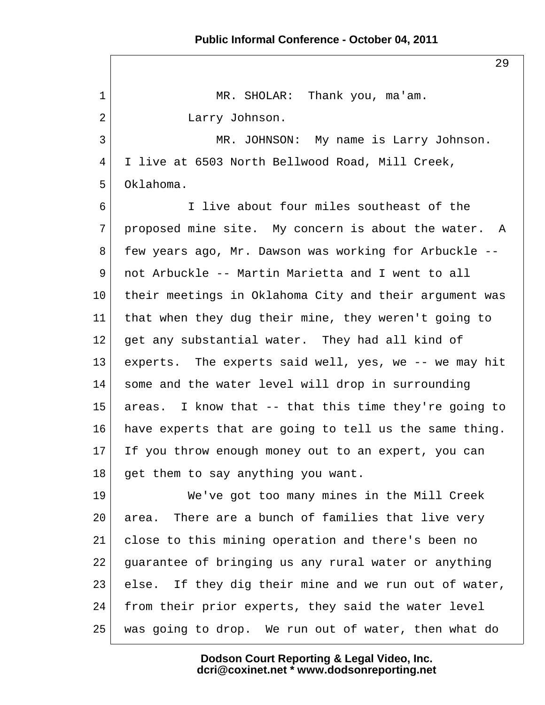29 1 MR. SHOLAR: Thank you, ma'am. 2 Larry Johnson. 3 MR. JOHNSON: My name is Larry Johnson. 4 I live at 6503 North Bellwood Road, Mill Creek, 5 Oklahoma. 6 I live about four miles southeast of the  $7$  proposed mine site. My concern is about the water. A 8 few years ago, Mr. Dawson was working for Arbuckle -- 9 not Arbuckle -- Martin Marietta and I went to all 10 their meetings in Oklahoma City and their argument was 11 that when they dug their mine, they weren't going to 12 get any substantial water. They had all kind of 13 experts. The experts said well, yes, we -- we may hit 14 some and the water level will drop in surrounding 15 areas. I know that -- that this time they're going to 16 have experts that are going to tell us the same thing. 17 If you throw enough money out to an expert, you can 18 get them to say anything you want. 19 We've got too many mines in the Mill Creek 20 area. There are a bunch of families that live very 21 close to this mining operation and there's been no 22 guarantee of bringing us any rural water or anything 23 else. If they dig their mine and we run out of water, 24 from their prior experts, they said the water level 25 was going to drop. We run out of water, then what do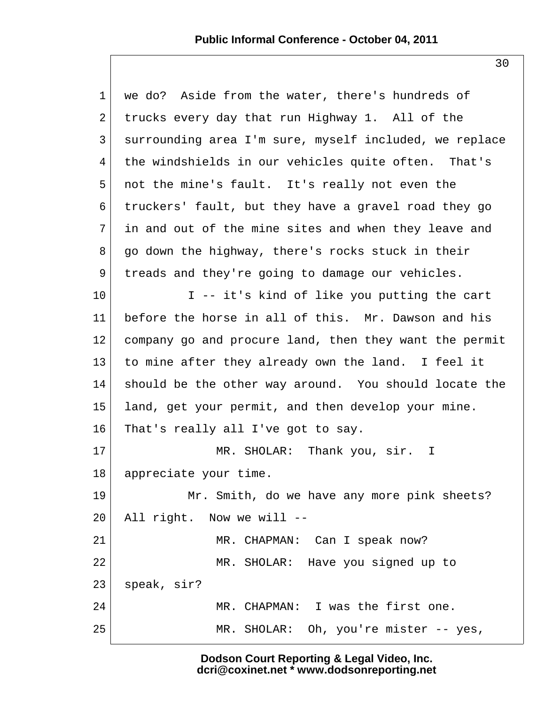1 we do? Aside from the water, there's hundreds of 2 trucks every day that run Highway 1. All of the 3 surrounding area I'm sure, myself included, we replace 4 the windshields in our vehicles quite often. That's 5 not the mine's fault. It's really not even the 6 truckers' fault, but they have a gravel road they go 7 in and out of the mine sites and when they leave and  $8$  go down the highway, there's rocks stuck in their 9 treads and they're going to damage our vehicles. 10 I -- it's kind of like you putting the cart 11 before the horse in all of this. Mr. Dawson and his 12 company go and procure land, then they want the permit 13 to mine after they already own the land. I feel it 14 should be the other way around. You should locate the 15 land, get your permit, and then develop your mine. 16 That's really all I've got to say. 17 MR. SHOLAR: Thank you, sir. I 18 appreciate your time. 19 Mr. Smith, do we have any more pink sheets?  $20$  All right. Now we will --21 MR. CHAPMAN: Can I speak now? 22 MR. SHOLAR: Have you signed up to 23 speak, sir? 24 MR. CHAPMAN: I was the first one. 25 MR. SHOLAR: Oh, you're mister -- yes,

> **Dodson Court Reporting & Legal Video, Inc. dcri@coxinet.net \* www.dodsonreporting.net**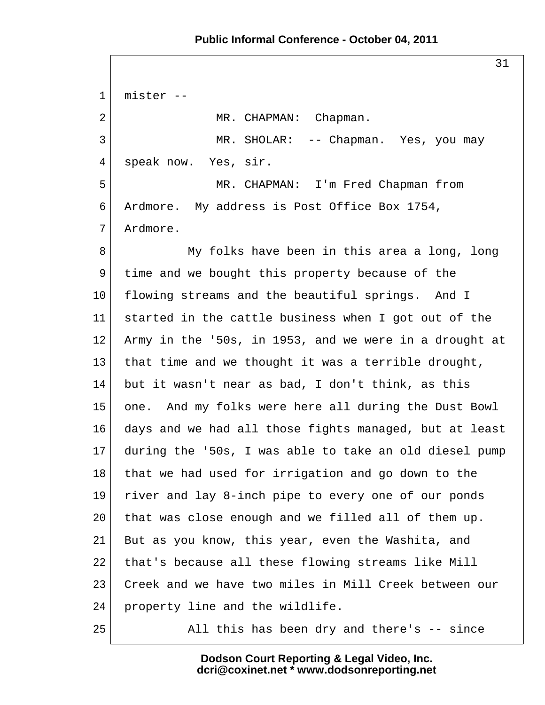31 1 mister -- 2 MR. CHAPMAN: Chapman. 3 MR. SHOLAR: -- Chapman. Yes, you may 4 speak now. Yes, sir. 5 | MR. CHAPMAN: I'm Fred Chapman from 6 Ardmore. My address is Post Office Box 1754, 7 Ardmore. 8 My folks have been in this area a long, long 9 time and we bought this property because of the 10 flowing streams and the beautiful springs. And I 11 started in the cattle business when I got out of the 12 Army in the '50s, in 1953, and we were in a drought at 13 | that time and we thought it was a terrible drought, 14 but it wasn't near as bad, I don't think, as this 15 one. And my folks were here all during the Dust Bowl 16 days and we had all those fights managed, but at least 17 during the '50s, I was able to take an old diesel pump 18 that we had used for irrigation and go down to the 19 river and lay 8-inch pipe to every one of our ponds 20 that was close enough and we filled all of them up. 21 But as you know, this year, even the Washita, and 22 that's because all these flowing streams like Mill 23 Creek and we have two miles in Mill Creek between our 24 property line and the wildlife. 25 All this has been dry and there's -- since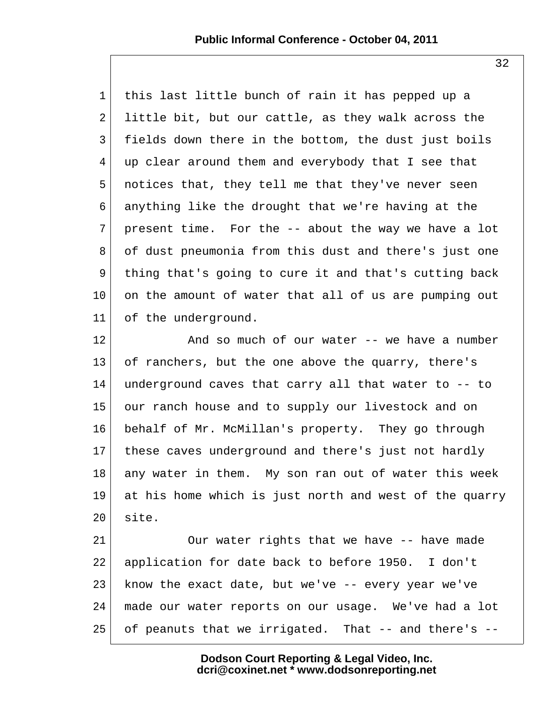1 this last little bunch of rain it has pepped up a 2 little bit, but our cattle, as they walk across the 3 fields down there in the bottom, the dust just boils 4 up clear around them and everybody that I see that 5 notices that, they tell me that they've never seen 6 anything like the drought that we're having at the 7 present time. For the  $-$  about the way we have a lot 8 of dust pneumonia from this dust and there's just one 9 thing that's going to cure it and that's cutting back 10 on the amount of water that all of us are pumping out 11 of the underground.

12 and so much of our water -- we have a number 13 of ranchers, but the one above the quarry, there's 14 underground caves that carry all that water to -- to 15 our ranch house and to supply our livestock and on 16 behalf of Mr. McMillan's property. They go through 17 these caves underground and there's just not hardly 18 any water in them. My son ran out of water this week 19 at his home which is just north and west of the quarry  $20$  site.

21 Our water rights that we have -- have made 22 application for date back to before 1950. I don't 23 know the exact date, but we've -- every year we've 24 made our water reports on our usage. We've had a lot 25 of peanuts that we irrigated. That -- and there's --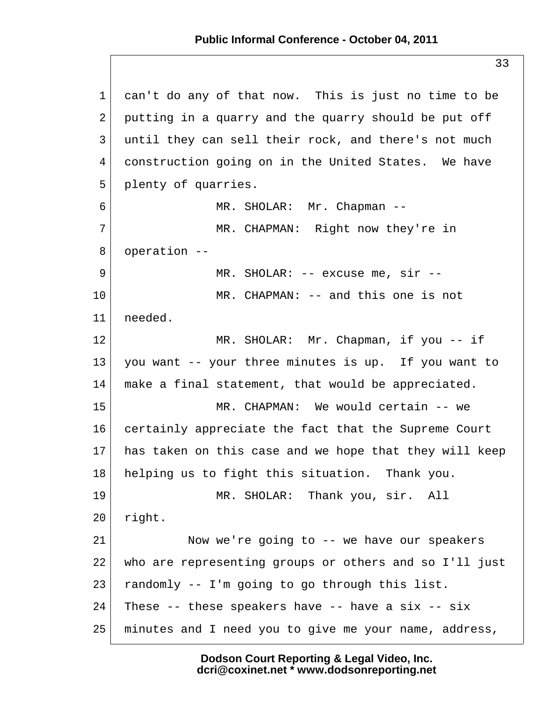1 can't do any of that now. This is just no time to be  $2$  putting in a quarry and the quarry should be put off 3 until they can sell their rock, and there's not much 4 construction going on in the United States. We have 5 plenty of quarries. 6 MR. SHOLAR: Mr. Chapman -- 7 MR. CHAPMAN: Right now they're in 8 operation -- 9 MR. SHOLAR: -- excuse me, sir --10 MR. CHAPMAN: -- and this one is not 11 needed. 12 MR. SHOLAR: Mr. Chapman, if you -- if 13 you want -- your three minutes is up. If you want to 14 make a final statement, that would be appreciated. 15 MR. CHAPMAN: We would certain -- we 16 certainly appreciate the fact that the Supreme Court 17 has taken on this case and we hope that they will keep 18 helping us to fight this situation. Thank you. 19 MR. SHOLAR: Thank you, sir. All 20 right. 21 Now we're going to -- we have our speakers 22 who are representing groups or others and so I'll just 23  $r$  randomly  $-1$ 'm going to go through this list.  $24$  These -- these speakers have -- have a six -- six 25 minutes and I need you to give me your name, address,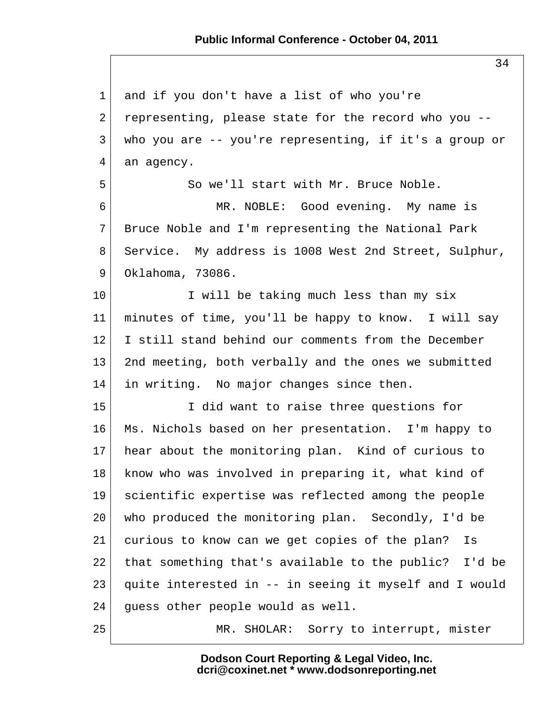1 and if you don't have a list of who you're 2 representing, please state for the record who you  $-$  3 who you are -- you're representing, if it's a group or  $4$  an agency. 5 So we'll start with Mr. Bruce Noble. 6 MR. NOBLE: Good evening. My name is 7 Bruce Noble and I'm representing the National Park 8 Service. My address is 1008 West 2nd Street, Sulphur, 9 Oklahoma, 73086. 10 I will be taking much less than my six 11 minutes of time, you'll be happy to know. I will say 12 I still stand behind our comments from the December 13 2nd meeting, both verbally and the ones we submitted 14 in writing. No major changes since then. 15 I did want to raise three questions for 16 Ms. Nichols based on her presentation. I'm happy to 17 hear about the monitoring plan. Kind of curious to 18 know who was involved in preparing it, what kind of 19 scientific expertise was reflected among the people 20 who produced the monitoring plan. Secondly, I'd be 21 curious to know can we get copies of the plan? Is 22 that something that's available to the public? I'd be 23 quite interested in -- in seeing it myself and I would 24 guess other people would as well. 25 MR. SHOLAR: Sorry to interrupt, mister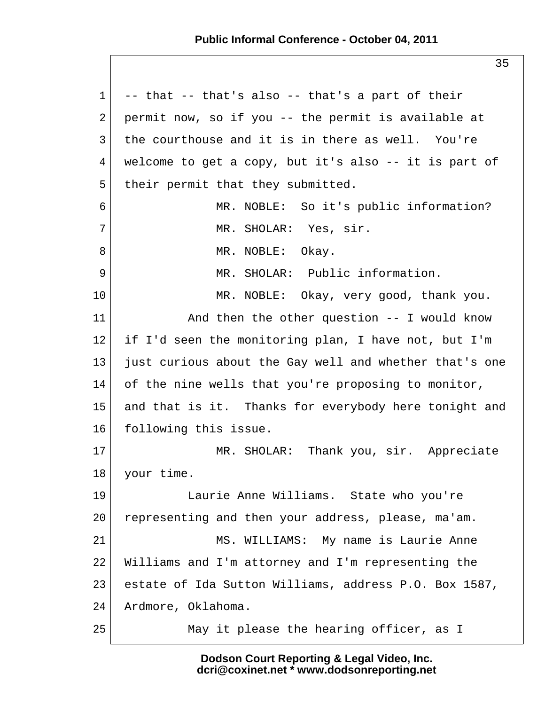#### **Public Informal Conference - October 04, 2011**

 $1$  -- that -- that's also -- that's a part of their 2 permit now, so if you  $-$  the permit is available at  $3$  the courthouse and it is in there as well. You're  $4$  welcome to get a copy, but it's also  $-$ - it is part of 5 their permit that they submitted. 6 MR. NOBLE: So it's public information? 7 MR. SHOLAR: Yes, sir. 8 MR. NOBLE: Okay. 9 MR. SHOLAR: Public information. 10 MR. NOBLE: Okay, very good, thank you. 11 And then the other question -- I would know 12 if I'd seen the monitoring plan, I have not, but I'm 13 just curious about the Gay well and whether that's one 14 of the nine wells that you're proposing to monitor, 15 and that is it. Thanks for everybody here tonight and 16 following this issue. 17 MR. SHOLAR: Thank you, sir. Appreciate 18 your time. 19 Laurie Anne Williams. State who you're 20 representing and then your address, please, ma'am. 21 | MS. WILLIAMS: My name is Laurie Anne 22 Williams and I'm attorney and I'm representing the 23 estate of Ida Sutton Williams, address P.O. Box 1587, 24 Ardmore, Oklahoma. 25 May it please the hearing officer, as I

> **Dodson Court Reporting & Legal Video, Inc. dcri@coxinet.net \* www.dodsonreporting.net**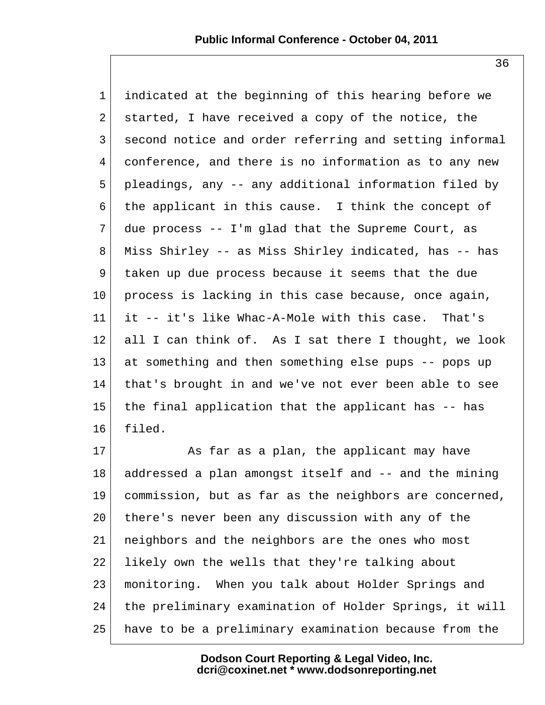1 indicated at the beginning of this hearing before we 2 started, I have received a copy of the notice, the 3 second notice and order referring and setting informal 4 conference, and there is no information as to any new 5 pleadings, any -- any additional information filed by 6 the applicant in this cause. I think the concept of  $7$  due process -- I'm glad that the Supreme Court, as 8 Miss Shirley -- as Miss Shirley indicated, has -- has 9 | taken up due process because it seems that the due  $10$  process is lacking in this case because, once again, 11 it -- it's like Whac-A-Mole with this case. That's  $12$  all I can think of. As I sat there I thought, we look 13 at something and then something else pups -- pops up 14 that's brought in and we've not ever been able to see 15 the final application that the applicant has -- has 16 filed.

17 As far as a plan, the applicant may have 18 addressed a plan amongst itself and -- and the mining 19 commission, but as far as the neighbors are concerned, 20 there's never been any discussion with any of the 21 neighbors and the neighbors are the ones who most 22 likely own the wells that they're talking about 23 monitoring. When you talk about Holder Springs and 24 the preliminary examination of Holder Springs, it will 25 have to be a preliminary examination because from the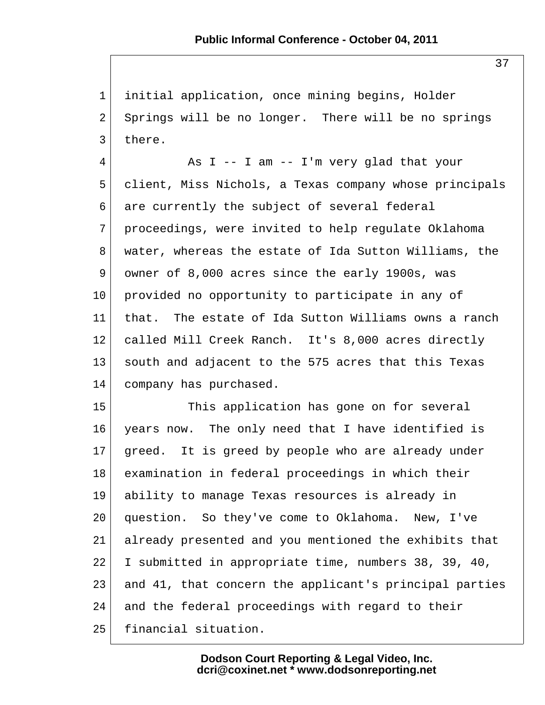1 initial application, once mining begins, Holder 2 Springs will be no longer. There will be no springs 3 there.

 $4$  As I -- I am -- I'm very glad that your 5 client, Miss Nichols, a Texas company whose principals 6 are currently the subject of several federal 7 proceedings, were invited to help regulate Oklahoma 8 water, whereas the estate of Ida Sutton Williams, the 9 owner of 8,000 acres since the early 1900s, was 10 provided no opportunity to participate in any of 11 that. The estate of Ida Sutton Williams owns a ranch 12 called Mill Creek Ranch. It's 8,000 acres directly 13 south and adjacent to the 575 acres that this Texas 14 company has purchased.

15 This application has gone on for several 16 years now. The only need that I have identified is  $17$  greed. It is greed by people who are already under 18 examination in federal proceedings in which their 19 ability to manage Texas resources is already in 20 question. So they've come to Oklahoma. New, I've 21 already presented and you mentioned the exhibits that 22 I submitted in appropriate time, numbers 38, 39, 40, 23 and 41, that concern the applicant's principal parties 24 and the federal proceedings with regard to their 25 financial situation.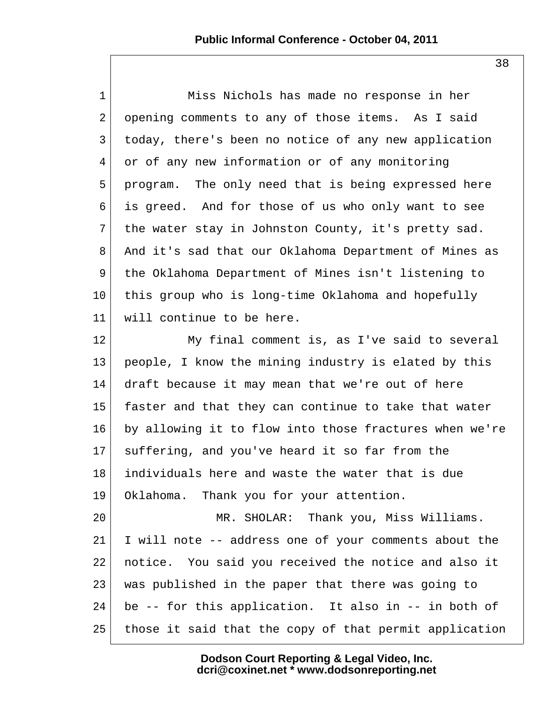| $\mathbf{1}$   | Miss Nichols has made no response in her               |
|----------------|--------------------------------------------------------|
| $\overline{a}$ | opening comments to any of those items. As I said      |
| 3              | today, there's been no notice of any new application   |
| 4              | or of any new information or of any monitoring         |
| 5              | program. The only need that is being expressed here    |
| 6              | is greed. And for those of us who only want to see     |
| 7              | the water stay in Johnston County, it's pretty sad.    |
| 8              | And it's sad that our Oklahoma Department of Mines as  |
| 9              | the Oklahoma Department of Mines isn't listening to    |
| 10             | this group who is long-time Oklahoma and hopefully     |
| 11             | will continue to be here.                              |
| 12             | My final comment is, as I've said to several           |
| 13             | people, I know the mining industry is elated by this   |
| 14             | draft because it may mean that we're out of here       |
| 15             | faster and that they can continue to take that water   |
| 16             | by allowing it to flow into those fractures when we're |
| 17             | suffering, and you've heard it so far from the         |
| 18             | individuals here and waste the water that is due       |
| 19             | Oklahoma. Thank you for your attention.                |
| 20             | MR. SHOLAR: Thank you, Miss Williams.                  |
| 21             | I will note -- address one of your comments about the  |
| 22             | notice. You said you received the notice and also it   |
| 23             | was published in the paper that there was going to     |
| 24             | be -- for this application. It also in -- in both of   |
| 25             | those it said that the copy of that permit application |

**Dodson Court Reporting & Legal Video, Inc. dcri@coxinet.net \* www.dodsonreporting.net**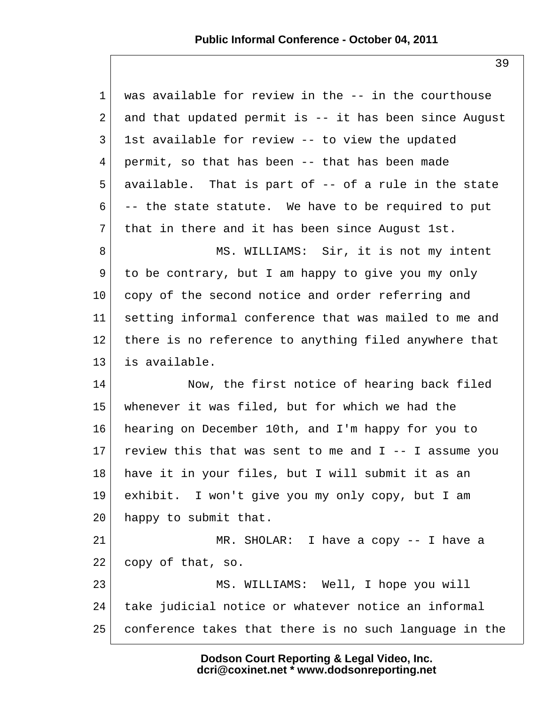| $\mathbf 1$    | was available for review in the -- in the courthouse    |
|----------------|---------------------------------------------------------|
| $\overline{2}$ | and that updated permit is -- it has been since August  |
| $\mathsf{3}$   | 1st available for review -- to view the updated         |
| 4              | permit, so that has been -- that has been made          |
| 5              | available. That is part of -- of a rule in the state    |
| 6              | -- the state statute. We have to be required to put     |
| 7              | that in there and it has been since August 1st.         |
| 8              | MS. WILLIAMS: Sir, it is not my intent                  |
| 9              | to be contrary, but I am happy to give you my only      |
| $10 \,$        | copy of the second notice and order referring and       |
| 11             | setting informal conference that was mailed to me and   |
| 12             | there is no reference to anything filed anywhere that   |
| 13             | is available.                                           |
| 14             | Now, the first notice of hearing back filed             |
| 15             | whenever it was filed, but for which we had the         |
| 16             | hearing on December 10th, and I'm happy for you to      |
| 17             | review this that was sent to me and $I$ -- I assume you |
| 18             | have it in your files, but I will submit it as an       |
| 19             | exhibit. I won't give you my only copy, but I am        |
| 20             | happy to submit that.                                   |
| 21             | MR. SHOLAR: I have a copy $-$ - I have a                |
| 22             | copy of that, so.                                       |
| 23             | MS. WILLIAMS: Well, I hope you will                     |
| 24             | take judicial notice or whatever notice an informal     |
| 25             | conference takes that there is no such language in the  |
|                |                                                         |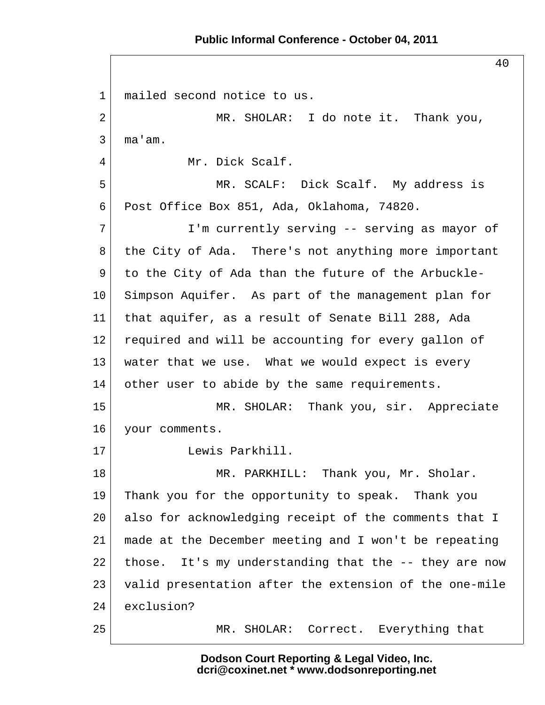#### **Public Informal Conference - October 04, 2011**

40 1 mailed second notice to us. 2 MR. SHOLAR: I do note it. Thank you,  $3 \mid$  ma'am. 4 Mr. Dick Scalf. 5 MR. SCALF: Dick Scalf. My address is 6 Post Office Box 851, Ada, Oklahoma, 74820. 7 I'm currently serving -- serving as mayor of 8 the City of Ada. There's not anything more important 9 to the City of Ada than the future of the Arbuckle-10 Simpson Aquifer. As part of the management plan for 11 that aquifer, as a result of Senate Bill 288, Ada 12 required and will be accounting for every gallon of 13 | water that we use. What we would expect is every 14 other user to abide by the same requirements. 15 MR. SHOLAR: Thank you, sir. Appreciate 16 your comments. 17 Lewis Parkhill. 18 MR. PARKHILL: Thank you, Mr. Sholar. 19 Thank you for the opportunity to speak. Thank you 20 also for acknowledging receipt of the comments that I 21 made at the December meeting and I won't be repeating 22 those. It's my understanding that the  $-$ - they are now 23 valid presentation after the extension of the one-mile 24 exclusion? 25 MR. SHOLAR: Correct. Everything that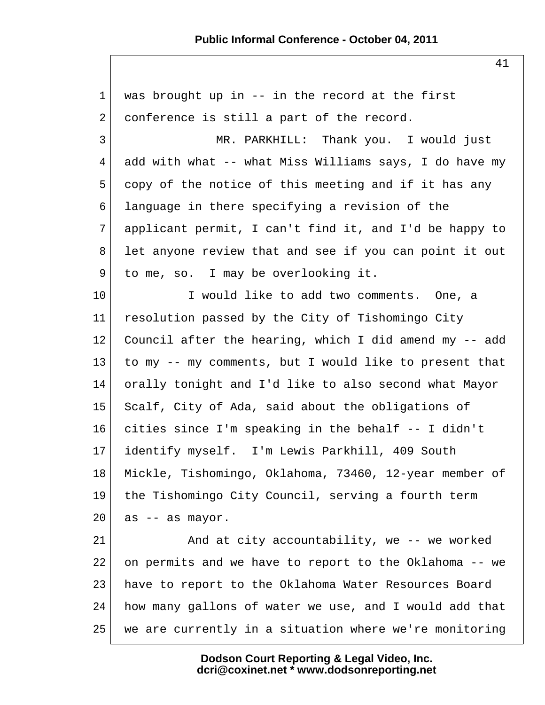$1$  was brought up in  $-$  in the record at the first  $2$  conference is still a part of the record. 3 MR. PARKHILL: Thank you. I would just  $4$  add with what -- what Miss Williams says, I do have my 5 copy of the notice of this meeting and if it has any 6 language in there specifying a revision of the 7 applicant permit, I can't find it, and I'd be happy to 8 let anyone review that and see if you can point it out 9 to me, so. I may be overlooking it. 10 I would like to add two comments. One, a 11 resolution passed by the City of Tishomingo City 12 Council after the hearing, which I did amend my -- add 13 to my -- my comments, but I would like to present that 14 orally tonight and I'd like to also second what Mayor 15 Scalf, City of Ada, said about the obligations of 16 cities since I'm speaking in the behalf -- I didn't 17 identify myself. I'm Lewis Parkhill, 409 South 18 Mickle, Tishomingo, Oklahoma, 73460, 12-year member of 19 the Tishomingo City Council, serving a fourth term  $20$  as  $-$  as mayor. 21 And at city accountability, we -- we worked 22 on permits and we have to report to the Oklahoma -- we 23 have to report to the Oklahoma Water Resources Board 24 how many gallons of water we use, and I would add that 25 we are currently in a situation where we're monitoring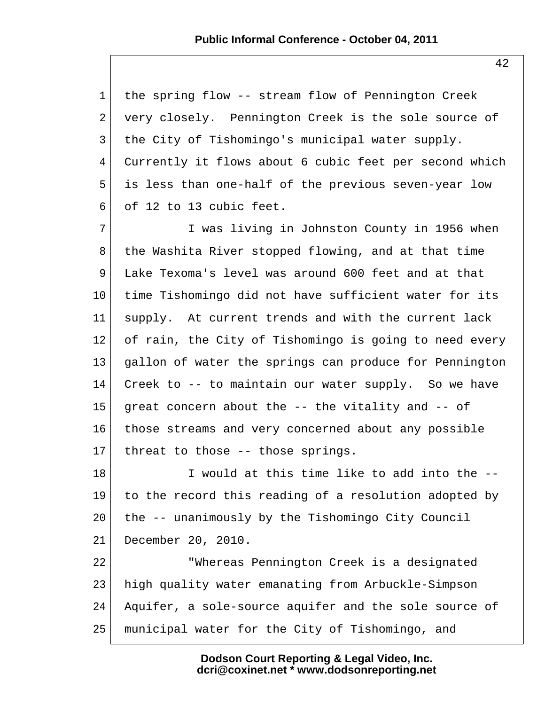1 the spring flow -- stream flow of Pennington Creek 2 very closely. Pennington Creek is the sole source of 3 the City of Tishomingo's municipal water supply. 4 Currently it flows about 6 cubic feet per second which 5 is less than one-half of the previous seven-year low  $6$  of 12 to 13 cubic feet.

7 I was living in Johnston County in 1956 when 8 the Washita River stopped flowing, and at that time 9 Lake Texoma's level was around 600 feet and at that 10 time Tishomingo did not have sufficient water for its 11 supply. At current trends and with the current lack 12 of rain, the City of Tishomingo is going to need every 13 gallon of water the springs can produce for Pennington 14 Creek to -- to maintain our water supply. So we have 15 great concern about the  $-$ - the vitality and  $-$ - of 16 those streams and very concerned about any possible 17 threat to those  $-$ - those springs.

18 I would at this time like to add into the --19 to the record this reading of a resolution adopted by 20 the -- unanimously by the Tishomingo City Council 21 December 20, 2010.

22 "Whereas Pennington Creek is a designated 23 high quality water emanating from Arbuckle-Simpson 24 Aquifer, a sole-source aquifer and the sole source of 25 municipal water for the City of Tishomingo, and

> **Dodson Court Reporting & Legal Video, Inc. dcri@coxinet.net \* www.dodsonreporting.net**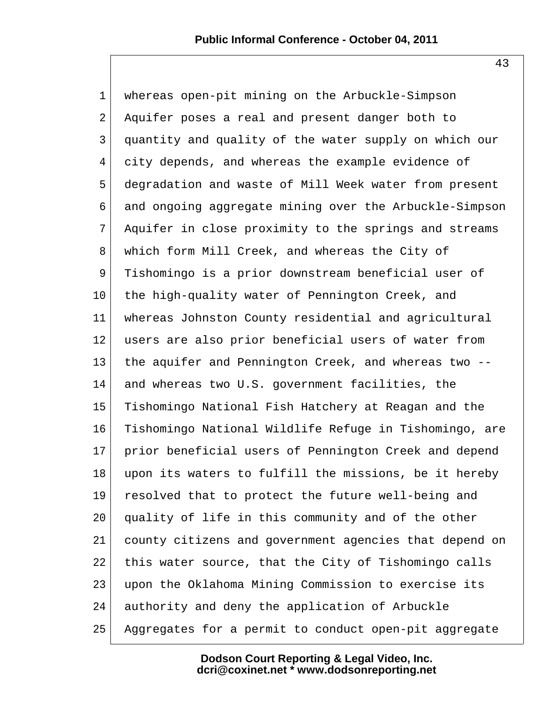1 whereas open-pit mining on the Arbuckle-Simpson 2 Aquifer poses a real and present danger both to 3 quantity and quality of the water supply on which our 4 city depends, and whereas the example evidence of 5 degradation and waste of Mill Week water from present 6 and ongoing aggregate mining over the Arbuckle-Simpson 7 Aquifer in close proximity to the springs and streams 8 which form Mill Creek, and whereas the City of 9 Tishomingo is a prior downstream beneficial user of 10 the high-quality water of Pennington Creek, and 11 whereas Johnston County residential and agricultural 12 users are also prior beneficial users of water from 13 the aquifer and Pennington Creek, and whereas two --14 and whereas two U.S. government facilities, the 15 Tishomingo National Fish Hatchery at Reagan and the 16 Tishomingo National Wildlife Refuge in Tishomingo, are 17 prior beneficial users of Pennington Creek and depend 18 upon its waters to fulfill the missions, be it hereby 19 resolved that to protect the future well-being and 20 quality of life in this community and of the other 21 county citizens and government agencies that depend on 22 | this water source, that the City of Tishomingo calls 23 upon the Oklahoma Mining Commission to exercise its 24 authority and deny the application of Arbuckle 25 Aggregates for a permit to conduct open-pit aggregate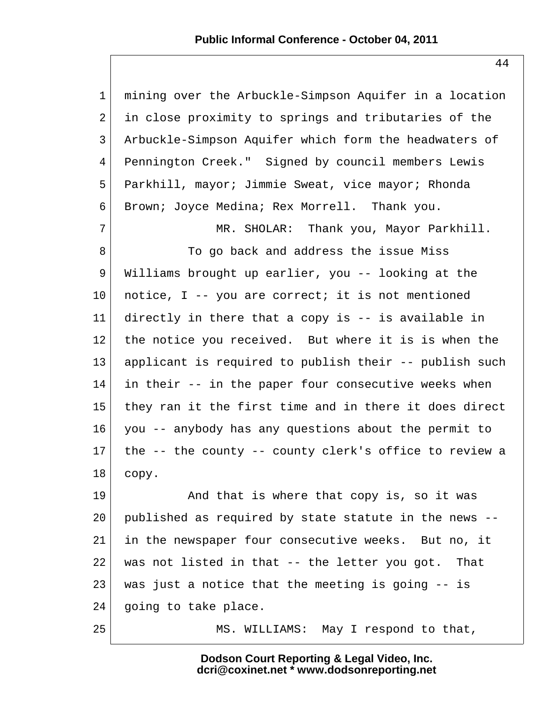1 mining over the Arbuckle-Simpson Aquifer in a location 2 in close proximity to springs and tributaries of the 3 Arbuckle-Simpson Aquifer which form the headwaters of 4 Pennington Creek." Signed by council members Lewis 5 Parkhill, mayor; Jimmie Sweat, vice mayor; Rhonda 6 Brown; Joyce Medina; Rex Morrell. Thank you. 7 MR. SHOLAR: Thank you, Mayor Parkhill. 8 To go back and address the issue Miss 9 Williams brought up earlier, you -- looking at the 10 notice, I -- you are correct; it is not mentioned 11 directly in there that a copy is -- is available in 12 the notice you received. But where it is is when the 13 applicant is required to publish their -- publish such  $14$  in their  $-$  in the paper four consecutive weeks when 15 they ran it the first time and in there it does direct 16 you -- anybody has any questions about the permit to 17 the -- the county -- county clerk's office to review a  $18$  copy. 19 and that is where that copy is, so it was 20 published as required by state statute in the news -- 21 in the newspaper four consecutive weeks. But no, it  $22$  was not listed in that -- the letter you got. That 23 was just a notice that the meeting is going  $-$ - is 24 going to take place. 25 MS. WILLIAMS: May I respond to that,

> **Dodson Court Reporting & Legal Video, Inc. dcri@coxinet.net \* www.dodsonreporting.net**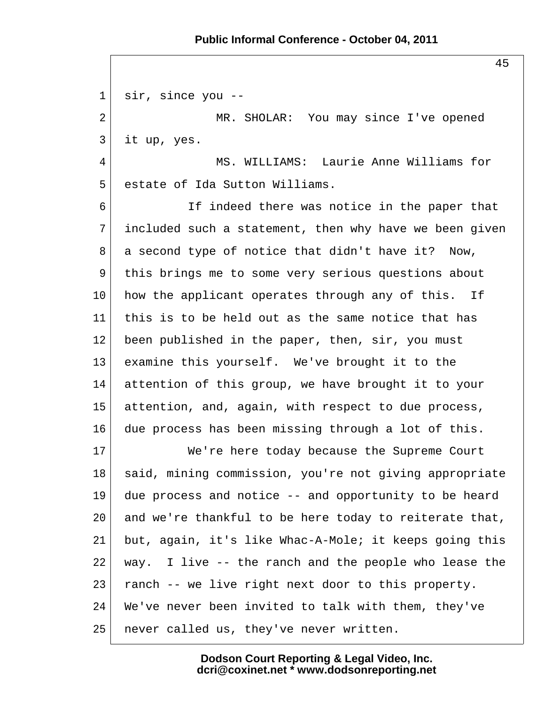#### **Public Informal Conference - October 04, 2011**

 1 sir, since you -- 2 MR. SHOLAR: You may since I've opened 3 it up, yes. 4 MS. WILLIAMS: Laurie Anne Williams for 5 estate of Ida Sutton Williams. 6 16 If indeed there was notice in the paper that 7 included such a statement, then why have we been given  $8$  a second type of notice that didn't have it? Now, 9 this brings me to some very serious questions about 10 how the applicant operates through any of this. If 11 this is to be held out as the same notice that has 12 been published in the paper, then, sir, you must 13 examine this yourself. We've brought it to the 14 attention of this group, we have brought it to your 15 attention, and, again, with respect to due process, 16 due process has been missing through a lot of this. 17 We're here today because the Supreme Court 18 | said, mining commission, you're not giving appropriate 19 due process and notice -- and opportunity to be heard 20 and we're thankful to be here today to reiterate that, 21 but, again, it's like Whac-A-Mole; it keeps going this  $22$  way. I live  $-$ - the ranch and the people who lease the 23 ranch -- we live right next door to this property. 24 We've never been invited to talk with them, they've 25 never called us, they've never written.

> **Dodson Court Reporting & Legal Video, Inc. dcri@coxinet.net \* www.dodsonreporting.net**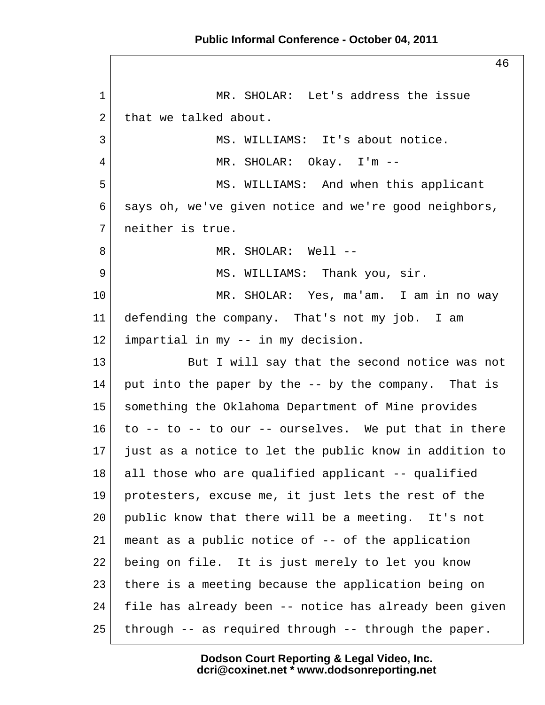46 1 MR. SHOLAR: Let's address the issue  $2$  that we talked about. 3 MS. WILLIAMS: It's about notice. 4 MR. SHOLAR: Okay. I'm -- 5 MS. WILLIAMS: And when this applicant 6 says oh, we've given notice and we're good neighbors, 7 neither is true. 8 MR. SHOLAR: Well --9 MS. WILLIAMS: Thank you, sir. 10 MR. SHOLAR: Yes, ma'am. I am in no way 11 defending the company. That's not my job. I am 12 impartial in my -- in my decision. 13 But I will say that the second notice was not  $14$  put into the paper by the -- by the company. That is 15 something the Oklahoma Department of Mine provides 16 to -- to -- to our -- ourselves. We put that in there 17 just as a notice to let the public know in addition to 18 all those who are qualified applicant -- qualified 19 protesters, excuse me, it just lets the rest of the 20 public know that there will be a meeting. It's not 21 meant as a public notice of -- of the application 22 being on file. It is just merely to let you know 23 there is a meeting because the application being on 24 file has already been -- notice has already been given  $25$  through -- as required through -- through the paper.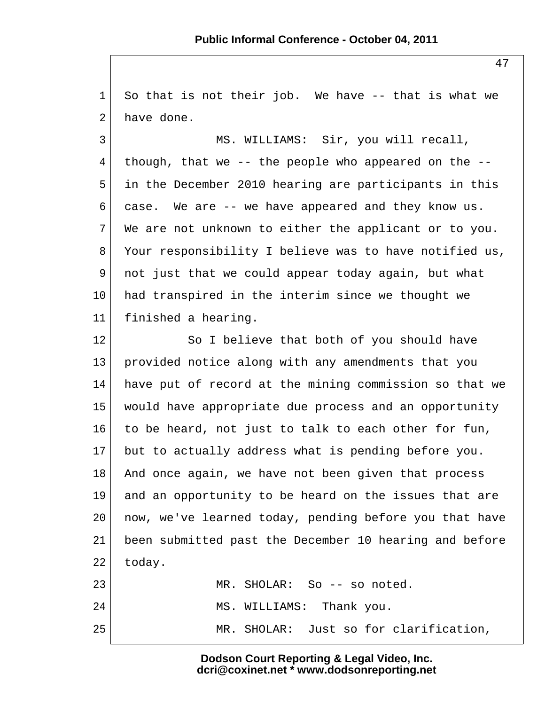1 So that is not their job. We have -- that is what we  $2^{\dagger}$  have done.

3 MS. WILLIAMS: Sir, you will recall,  $4 \mid$  though, that we -- the people who appeared on the -- 5 in the December 2010 hearing are participants in this 6 case. We are  $-$  we have appeared and they know us.  $7$  We are not unknown to either the applicant or to you. 8 Your responsibility I believe was to have notified us, 9 not just that we could appear today again, but what 10 had transpired in the interim since we thought we 11 finished a hearing.

12 So I believe that both of you should have 13 provided notice along with any amendments that you 14 have put of record at the mining commission so that we 15 would have appropriate due process and an opportunity 16 to be heard, not just to talk to each other for fun, 17 but to actually address what is pending before you. 18 And once again, we have not been given that process 19 and an opportunity to be heard on the issues that are 20 now, we've learned today, pending before you that have 21 been submitted past the December 10 hearing and before  $22$  today. 23 MR. SHOLAR: So -- so noted. 24 MS. WILLIAMS: Thank you.

25 MR. SHOLAR: Just so for clarification,

**Dodson Court Reporting & Legal Video, Inc. dcri@coxinet.net \* www.dodsonreporting.net**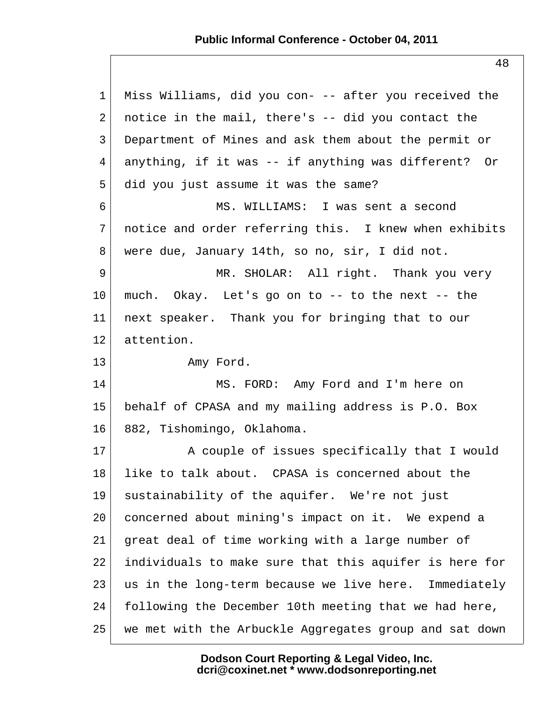### **Public Informal Conference - October 04, 2011**

 1 Miss Williams, did you con- -- after you received the 2 notice in the mail, there's  $-$  did you contact the 3 Department of Mines and ask them about the permit or 4 anything, if it was -- if anything was different? Or 5 did you just assume it was the same? 6 MS. WILLIAMS: I was sent a second 7 notice and order referring this. I knew when exhibits 8 were due, January 14th, so no, sir, I did not. 9 MR. SHOLAR: All right. Thank you very 10 much. Okay. Let's go on to -- to the next -- the 11 next speaker. Thank you for bringing that to our 12 attention. 13 Amy Ford. 14 MS. FORD: Amy Ford and I'm here on 15 behalf of CPASA and my mailing address is P.O. Box 16 882, Tishomingo, Oklahoma. 17 A couple of issues specifically that I would 18 like to talk about. CPASA is concerned about the 19 sustainability of the aquifer. We're not just 20 concerned about mining's impact on it. We expend a 21 great deal of time working with a large number of 22 individuals to make sure that this aquifer is here for 23 us in the long-term because we live here. Immediately 24 following the December 10th meeting that we had here, 25 we met with the Arbuckle Aggregates group and sat down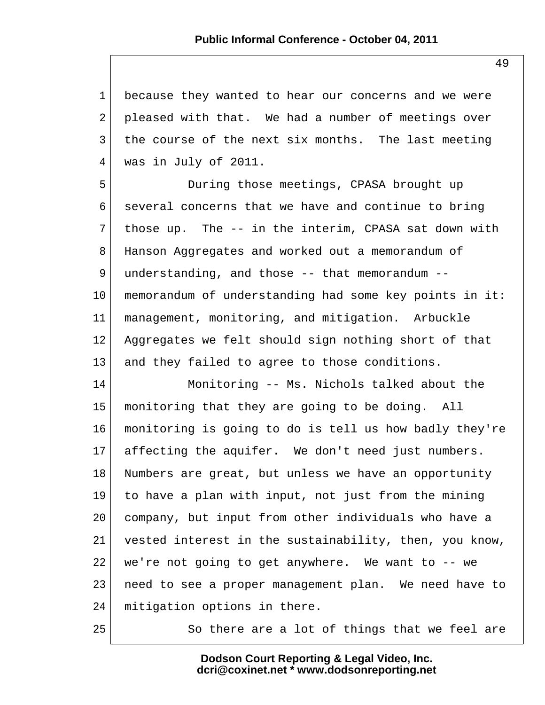1 because they wanted to hear our concerns and we were  $2$  pleased with that. We had a number of meetings over 3 the course of the next six months. The last meeting 4 was in July of 2011.

 5 During those meetings, CPASA brought up 6 several concerns that we have and continue to bring 7 those up. The -- in the interim, CPASA sat down with 8 Hanson Aggregates and worked out a memorandum of 9 understanding, and those -- that memorandum --10 memorandum of understanding had some key points in it: 11 management, monitoring, and mitigation. Arbuckle 12 Aggregates we felt should sign nothing short of that 13 and they failed to agree to those conditions.

14 Monitoring -- Ms. Nichols talked about the 15 monitoring that they are going to be doing. All 16 monitoring is going to do is tell us how badly they're 17 affecting the aquifer. We don't need just numbers. 18 Numbers are great, but unless we have an opportunity 19 to have a plan with input, not just from the mining 20 company, but input from other individuals who have a 21 vested interest in the sustainability, then, you know,  $22$  we're not going to get anywhere. We want to  $-$ - we 23 need to see a proper management plan. We need have to 24 | mitigation options in there.

25 So there are a lot of things that we feel are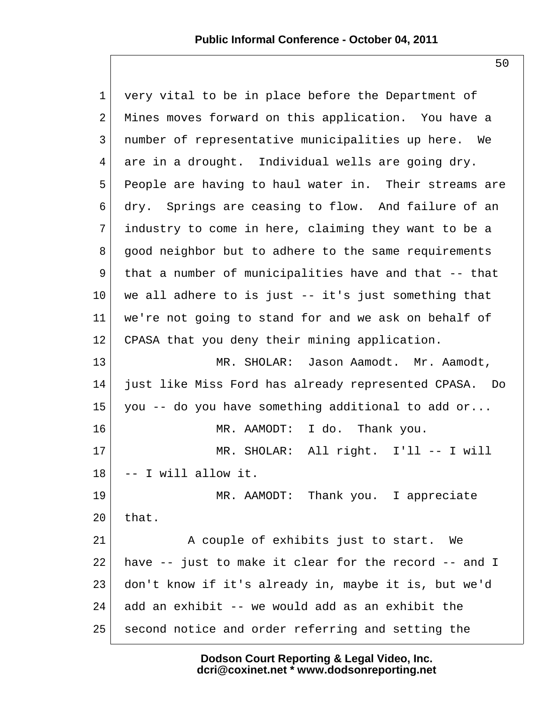1 very vital to be in place before the Department of 2 Mines moves forward on this application. You have a 3 number of representative municipalities up here. We 4 are in a drought. Individual wells are going dry. 5 People are having to haul water in. Their streams are 6 dry. Springs are ceasing to flow. And failure of an 7 industry to come in here, claiming they want to be a 8 good neighbor but to adhere to the same requirements 9 that a number of municipalities have and that -- that  $10$  we all adhere to is just  $-$  it's just something that 11 we're not going to stand for and we ask on behalf of 12 CPASA that you deny their mining application. 13 MR. SHOLAR: Jason Aamodt. Mr. Aamodt, 14 just like Miss Ford has already represented CPASA. Do 15 you -- do you have something additional to add or... 16 MR. AAMODT: I do. Thank you. 17 MR. SHOLAR: All right. I'll -- I will  $18$  -- I will allow it. 19 MR. AAMODT: Thank you. I appreciate  $20$  that. 21 A couple of exhibits just to start. We  $22$  have  $-$  just to make it clear for the record  $-$  and I 23 don't know if it's already in, maybe it is, but we'd  $24$  add an exhibit -- we would add as an exhibit the 25 second notice and order referring and setting the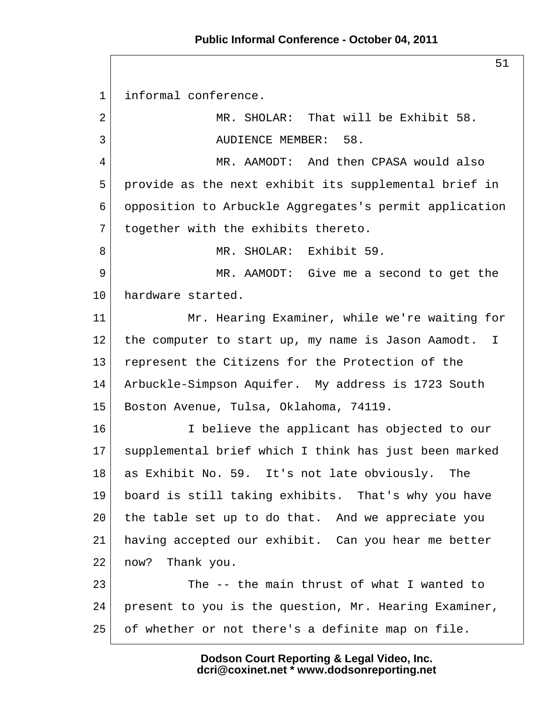#### **Public Informal Conference - October 04, 2011**

 1 informal conference. 2 MR. SHOLAR: That will be Exhibit 58. 3 AUDIENCE MEMBER: 58. 4 MR. AAMODT: And then CPASA would also 5 provide as the next exhibit its supplemental brief in 6 opposition to Arbuckle Aggregates's permit application  $7$  together with the exhibits thereto. 8 MR. SHOLAR: Exhibit 59. 9 MR. AAMODT: Give me a second to get the 10 hardware started. 11 Mr. Hearing Examiner, while we're waiting for 12 the computer to start up, my name is Jason Aamodt. I 13 represent the Citizens for the Protection of the 14 Arbuckle-Simpson Aquifer. My address is 1723 South 15 Boston Avenue, Tulsa, Oklahoma, 74119. 16 I believe the applicant has objected to our 17 supplemental brief which I think has just been marked 18 as Exhibit No. 59. It's not late obviously. The 19 board is still taking exhibits. That's why you have 20 the table set up to do that. And we appreciate you 21 having accepted our exhibit. Can you hear me better 22 now? Thank you. 23 The -- the main thrust of what I wanted to 24 present to you is the question, Mr. Hearing Examiner, 25 of whether or not there's a definite map on file.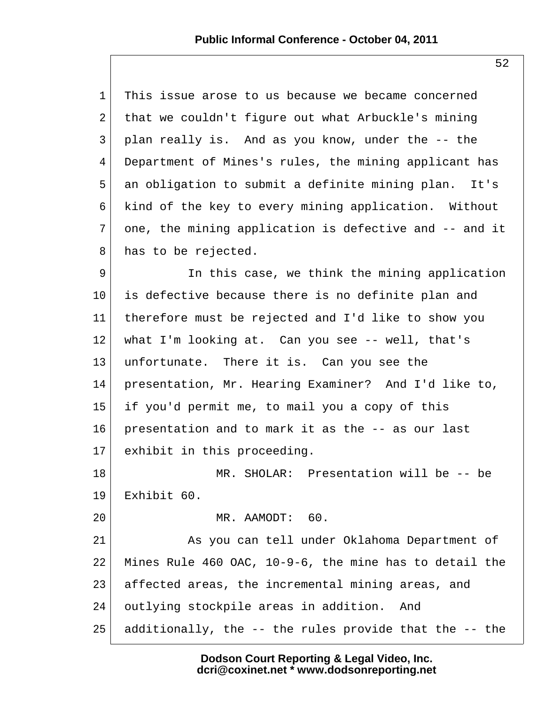| $\mathbf{1}$ | This issue arose to us because we became concerned     |
|--------------|--------------------------------------------------------|
| 2            | that we couldn't figure out what Arbuckle's mining     |
| 3            | plan really is. And as you know, under the -- the      |
| 4            | Department of Mines's rules, the mining applicant has  |
| 5            | an obligation to submit a definite mining plan. It's   |
| 6            | kind of the key to every mining application. Without   |
| 7            | one, the mining application is defective and -- and it |
| 8            | has to be rejected.                                    |
| 9            | In this case, we think the mining application          |
| $10 \,$      | is defective because there is no definite plan and     |
| 11           | therefore must be rejected and I'd like to show you    |
| 12           | what I'm looking at. Can you see $-$ - well, that's    |
| 13           | unfortunate. There it is. Can you see the              |
| 14           | presentation, Mr. Hearing Examiner? And I'd like to,   |
| 15           | if you'd permit me, to mail you a copy of this         |
| 16           | presentation and to mark it as the -- as our last      |
| 17           | exhibit in this proceeding.                            |
| 18           | MR. SHOLAR: Presentation will be -- be                 |
| 19           | Exhibit 60.                                            |
| 20           | MR. AAMODT: 60.                                        |
| 21           | As you can tell under Oklahoma Department of           |
| 22           | Mines Rule 460 OAC, 10-9-6, the mine has to detail the |
| 23           | affected areas, the incremental mining areas, and      |
| 24           | outlying stockpile areas in addition.<br>And           |
| 25           | additionally, the -- the rules provide that the -- the |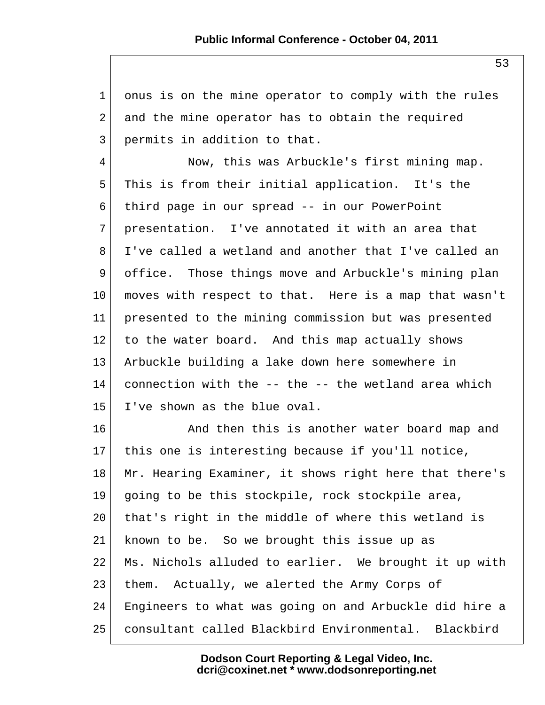1 onus is on the mine operator to comply with the rules 2 and the mine operator has to obtain the required 3 permits in addition to that. 4 Now, this was Arbuckle's first mining map. 5 This is from their initial application. It's the 6 third page in our spread -- in our PowerPoint 7 presentation. I've annotated it with an area that 8 I've called a wetland and another that I've called an 9 office. Those things move and Arbuckle's mining plan 10 moves with respect to that. Here is a map that wasn't 11 presented to the mining commission but was presented 12 to the water board. And this map actually shows 13 Arbuckle building a lake down here somewhere in 14 connection with the  $-$ - the  $-$ - the wetland area which  $15$  I've shown as the blue oval. 16 And then this is another water board map and 17 this one is interesting because if you'll notice, 18 Mr. Hearing Examiner, it shows right here that there's 19 going to be this stockpile, rock stockpile area, 20 that's right in the middle of where this wetland is 21 known to be. So we brought this issue up as 22 Ms. Nichols alluded to earlier. We brought it up with 23 them. Actually, we alerted the Army Corps of 24 Engineers to what was going on and Arbuckle did hire a 25 consultant called Blackbird Environmental. Blackbird

> **Dodson Court Reporting & Legal Video, Inc. dcri@coxinet.net \* www.dodsonreporting.net**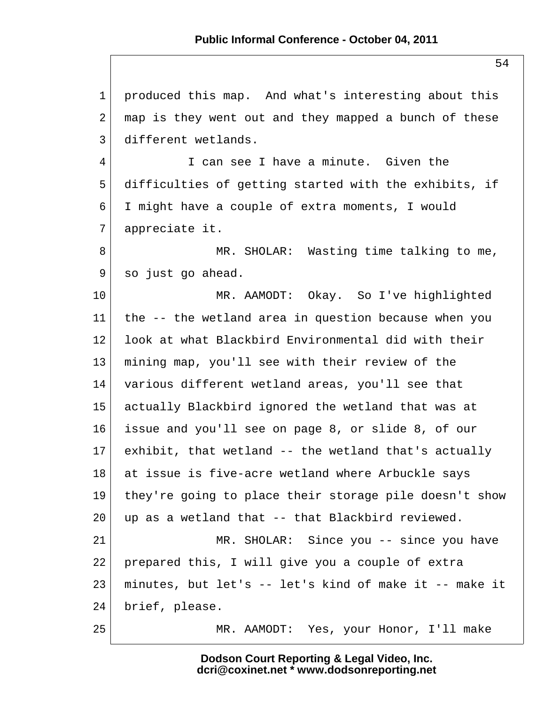1 produced this map. And what's interesting about this  $2$  map is they went out and they mapped a bunch of these 3 different wetlands. 4 I can see I have a minute. Given the 5 difficulties of getting started with the exhibits, if 6 I might have a couple of extra moments, I would 7 appreciate it. 8 MR. SHOLAR: Wasting time talking to me, 9 so just go ahead. 10 MR. AAMODT: Okay. So I've highlighted 11 the -- the wetland area in question because when you 12 look at what Blackbird Environmental did with their 13 mining map, you'll see with their review of the 14 various different wetland areas, you'll see that 15 actually Blackbird ignored the wetland that was at 16 issue and you'll see on page 8, or slide 8, of our  $17$  exhibit, that wetland  $-$  the wetland that's actually 18 at issue is five-acre wetland where Arbuckle says 19 they're going to place their storage pile doesn't show  $20$  up as a wetland that  $-$ - that Blackbird reviewed. 21 MR. SHOLAR: Since you -- since you have 22 prepared this, I will give you a couple of extra 23 minutes, but let's -- let's kind of make it -- make it 24 brief, please. 25 MR. AAMODT: Yes, your Honor, I'll make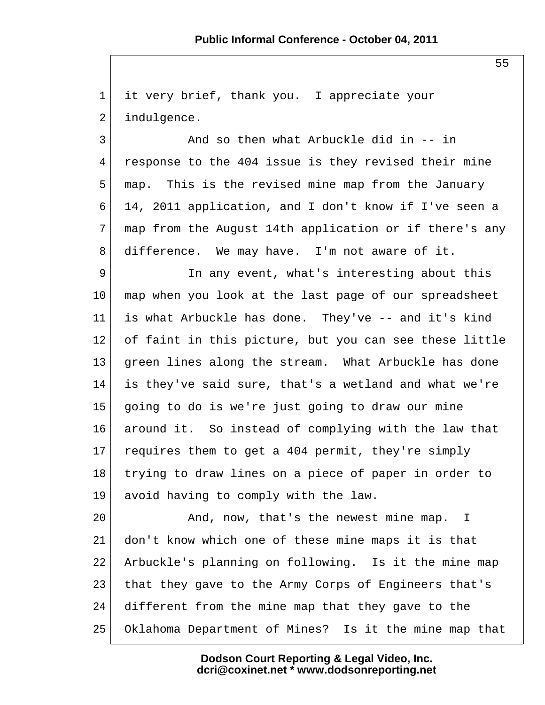1 it very brief, thank you. I appreciate your 2 indulgence.

 $3$  And so then what Arbuckle did in  $-$  in 4 response to the 404 issue is they revised their mine 5 map. This is the revised mine map from the January 6 14, 2011 application, and I don't know if I've seen a 7 map from the August 14th application or if there's any 8 difference. We may have. I'm not aware of it.

9 In any event, what's interesting about this 10 map when you look at the last page of our spreadsheet 11 is what Arbuckle has done. They've -- and it's kind 12 of faint in this picture, but you can see these little 13 green lines along the stream. What Arbuckle has done 14 is they've said sure, that's a wetland and what we're 15 going to do is we're just going to draw our mine 16 around it. So instead of complying with the law that 17 requires them to get a 404 permit, they're simply 18 trying to draw lines on a piece of paper in order to 19 avoid having to comply with the law.

20 And, now, that's the newest mine map. I 21 don't know which one of these mine maps it is that 22 Arbuckle's planning on following. Is it the mine map 23 that they gave to the Army Corps of Engineers that's 24 different from the mine map that they gave to the 25 Oklahoma Department of Mines? Is it the mine map that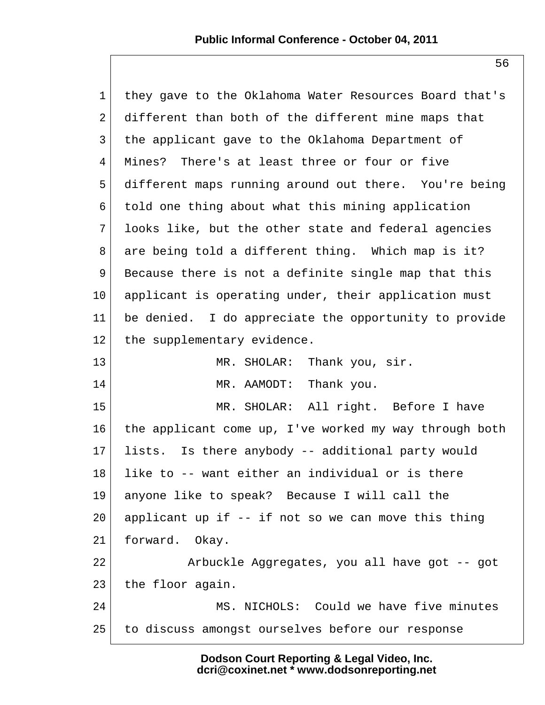1 they gave to the Oklahoma Water Resources Board that's 2 different than both of the different mine maps that 3 the applicant gave to the Oklahoma Department of 4 Mines? There's at least three or four or five 5 different maps running around out there. You're being 6 told one thing about what this mining application 7 looks like, but the other state and federal agencies 8 are being told a different thing. Which map is it? 9 Because there is not a definite single map that this 10 applicant is operating under, their application must 11 be denied. I do appreciate the opportunity to provide 12 the supplementary evidence. 13 MR. SHOLAR: Thank you, sir. 14 MR. AAMODT: Thank you. 15 MR. SHOLAR: All right. Before I have 16 the applicant come up, I've worked my way through both 17 lists. Is there anybody -- additional party would  $18$  like to  $-$ - want either an individual or is there 19 anyone like to speak? Because I will call the 20 applicant up if  $-$  if not so we can move this thing 21 forward. Okay. 22 Arbuckle Aggregates, you all have got -- got 23 the floor again. 24 MS. NICHOLS: Could we have five minutes 25 to discuss amongst ourselves before our response

> **Dodson Court Reporting & Legal Video, Inc. dcri@coxinet.net \* www.dodsonreporting.net**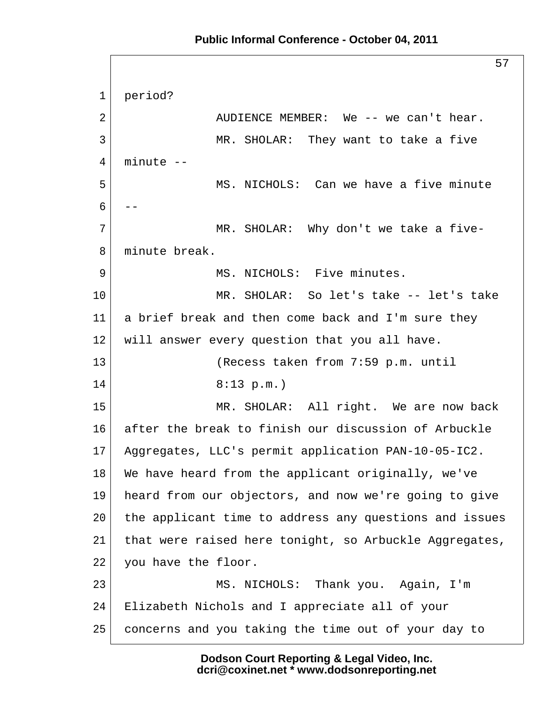## **Public Informal Conference - October 04, 2011**

57 1 period? 2 AUDIENCE MEMBER: We -- we can't hear. 3 MR. SHOLAR: They want to take a five  $4$  minute  $-$  5 MS. NICHOLS: Can we have a five minute  $6$  --7 MR. SHOLAR: Why don't we take a five- 8 minute break. 9 MS. NICHOLS: Five minutes. 10 MR. SHOLAR: So let's take -- let's take 11 a brief break and then come back and I'm sure they 12 | will answer every question that you all have. 13 (Recess taken from 7:59 p.m. until 14 8:13 p.m.) 15 MR. SHOLAR: All right. We are now back 16 after the break to finish our discussion of Arbuckle 17 Aggregates, LLC's permit application PAN-10-05-IC2. 18 We have heard from the applicant originally, we've 19 heard from our objectors, and now we're going to give 20 the applicant time to address any questions and issues 21 that were raised here tonight, so Arbuckle Aggregates, 22 you have the floor. 23 MS. NICHOLS: Thank you. Again, I'm 24 Elizabeth Nichols and I appreciate all of your 25 concerns and you taking the time out of your day to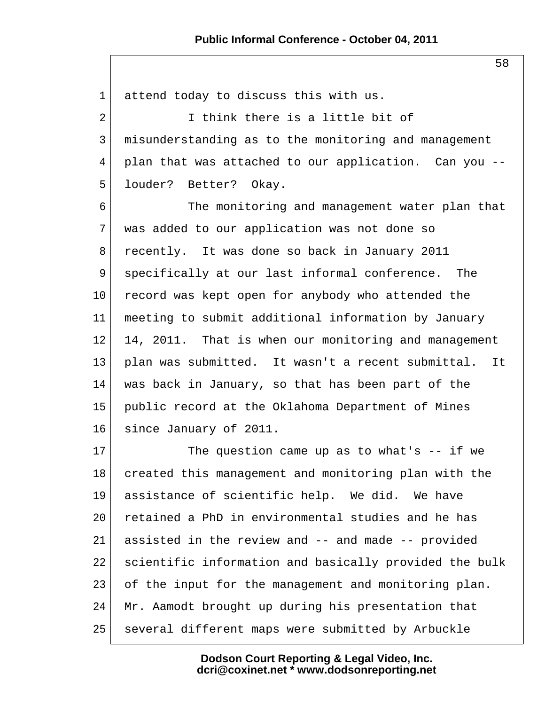1 attend today to discuss this with us. 2 I think there is a little bit of 3 misunderstanding as to the monitoring and management 4 plan that was attached to our application. Can you -- 5 louder? Better? Okay. 6 The monitoring and management water plan that 7 was added to our application was not done so 8 recently. It was done so back in January 2011 9 specifically at our last informal conference. The 10 record was kept open for anybody who attended the 11 meeting to submit additional information by January 12 14, 2011. That is when our monitoring and management 13 plan was submitted. It wasn't a recent submittal. It 14 was back in January, so that has been part of the 15 public record at the Oklahoma Department of Mines 16 since January of 2011.  $17$  The question came up as to what's  $-$  if we 18 created this management and monitoring plan with the 19 assistance of scientific help. We did. We have 20 retained a PhD in environmental studies and he has 21 assisted in the review and -- and made -- provided 22 scientific information and basically provided the bulk 23 of the input for the management and monitoring plan. 24 Mr. Aamodt brought up during his presentation that 25 several different maps were submitted by Arbuckle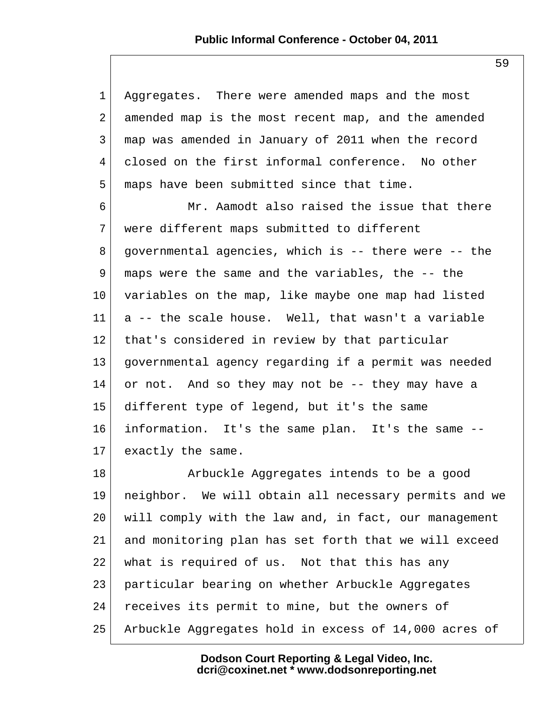1 Aggregates. There were amended maps and the most 2 amended map is the most recent map, and the amended 3 map was amended in January of 2011 when the record 4 closed on the first informal conference. No other 5 maps have been submitted since that time. 6 Mr. Aamodt also raised the issue that there 7 were different maps submitted to different  $8$  governmental agencies, which is  $-$  there were  $-$  the 9 maps were the same and the variables, the -- the 10 variables on the map, like maybe one map had listed 11 a -- the scale house. Well, that wasn't a variable 12 that's considered in review by that particular 13 governmental agency regarding if a permit was needed 14 or not. And so they may not be -- they may have a 15 different type of legend, but it's the same 16 information. It's the same plan. It's the same -- 17 exactly the same. 18 Arbuckle Aggregates intends to be a good

19 neighbor. We will obtain all necessary permits and we 20 will comply with the law and, in fact, our management 21 and monitoring plan has set forth that we will exceed 22 | what is required of us. Not that this has any 23 particular bearing on whether Arbuckle Aggregates 24 receives its permit to mine, but the owners of 25 Arbuckle Aggregates hold in excess of 14,000 acres of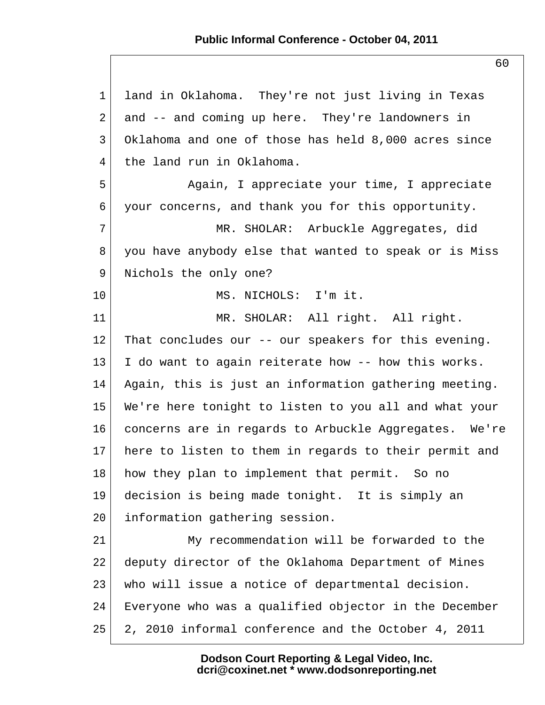1 land in Oklahoma. They're not just living in Texas 2 and -- and coming up here. They're landowners in 3 Oklahoma and one of those has held 8,000 acres since 4 the land run in Oklahoma. 5 Again, I appreciate your time, I appreciate 6 your concerns, and thank you for this opportunity. 7 MR. SHOLAR: Arbuckle Aggregates, did 8 you have anybody else that wanted to speak or is Miss 9 Nichols the only one? 10 MS. NICHOLS: I'm it. 11 | MR. SHOLAR: All right. All right. 12 That concludes our -- our speakers for this evening.  $13$  I do want to again reiterate how  $-$ - how this works. 14 Again, this is just an information gathering meeting. 15 We're here tonight to listen to you all and what your 16 concerns are in regards to Arbuckle Aggregates. We're 17 here to listen to them in regards to their permit and 18 how they plan to implement that permit. So no 19 decision is being made tonight. It is simply an 20 information gathering session. 21 My recommendation will be forwarded to the 22 deputy director of the Oklahoma Department of Mines 23 who will issue a notice of departmental decision. 24 Everyone who was a qualified objector in the December 25 2, 2010 informal conference and the October 4, 2011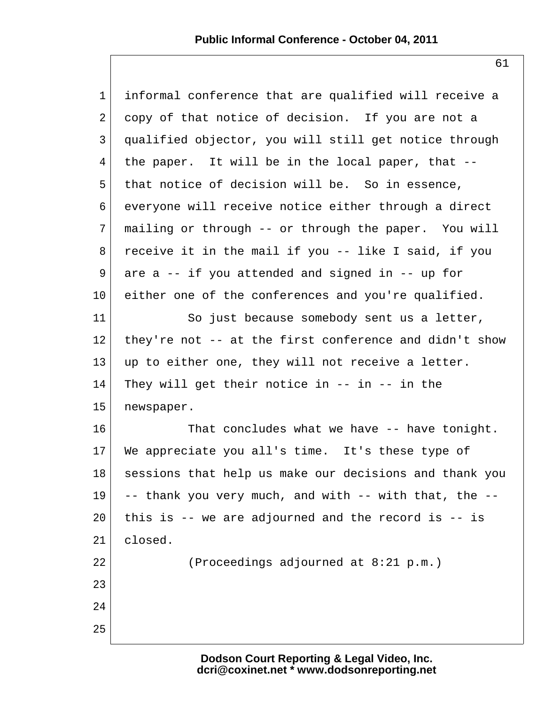| $\mathbf{1}$   | informal conference that are qualified will receive a  |
|----------------|--------------------------------------------------------|
| $\overline{2}$ | copy of that notice of decision. If you are not a      |
| 3              | qualified objector, you will still get notice through  |
| $\overline{4}$ | the paper. It will be in the local paper, that --      |
| 5              | that notice of decision will be. So in essence,        |
| 6              | everyone will receive notice either through a direct   |
| 7              | mailing or through -- or through the paper. You will   |
| 8              | receive it in the mail if you -- like I said, if you   |
| 9              | are $a$ -- if you attended and signed in -- up for     |
| $10 \,$        | either one of the conferences and you're qualified.    |
| 11             | So just because somebody sent us a letter,             |
| 12             | they're not -- at the first conference and didn't show |
| 13             | up to either one, they will not receive a letter.      |
| 14             | They will get their notice in $--$ in $--$ in the      |
| 15             | newspaper.                                             |
| 16             | That concludes what we have -- have tonight.           |
| $17 \,$        | We appreciate you all's time. It's these type of       |
| 18             | sessions that help us make our decisions and thank you |
| 19             | -- thank you very much, and with -- with that, the --  |
| 20             | this is $-$ we are adjourned and the record is $-$ is  |
| 21             | closed.                                                |
| 22             | (Proceedings adjourned at 8:21 p.m.)                   |
| 23             |                                                        |
| 24             |                                                        |
| 25             |                                                        |
|                |                                                        |

**Dodson Court Reporting & Legal Video, Inc. dcri@coxinet.net \* www.dodsonreporting.net**